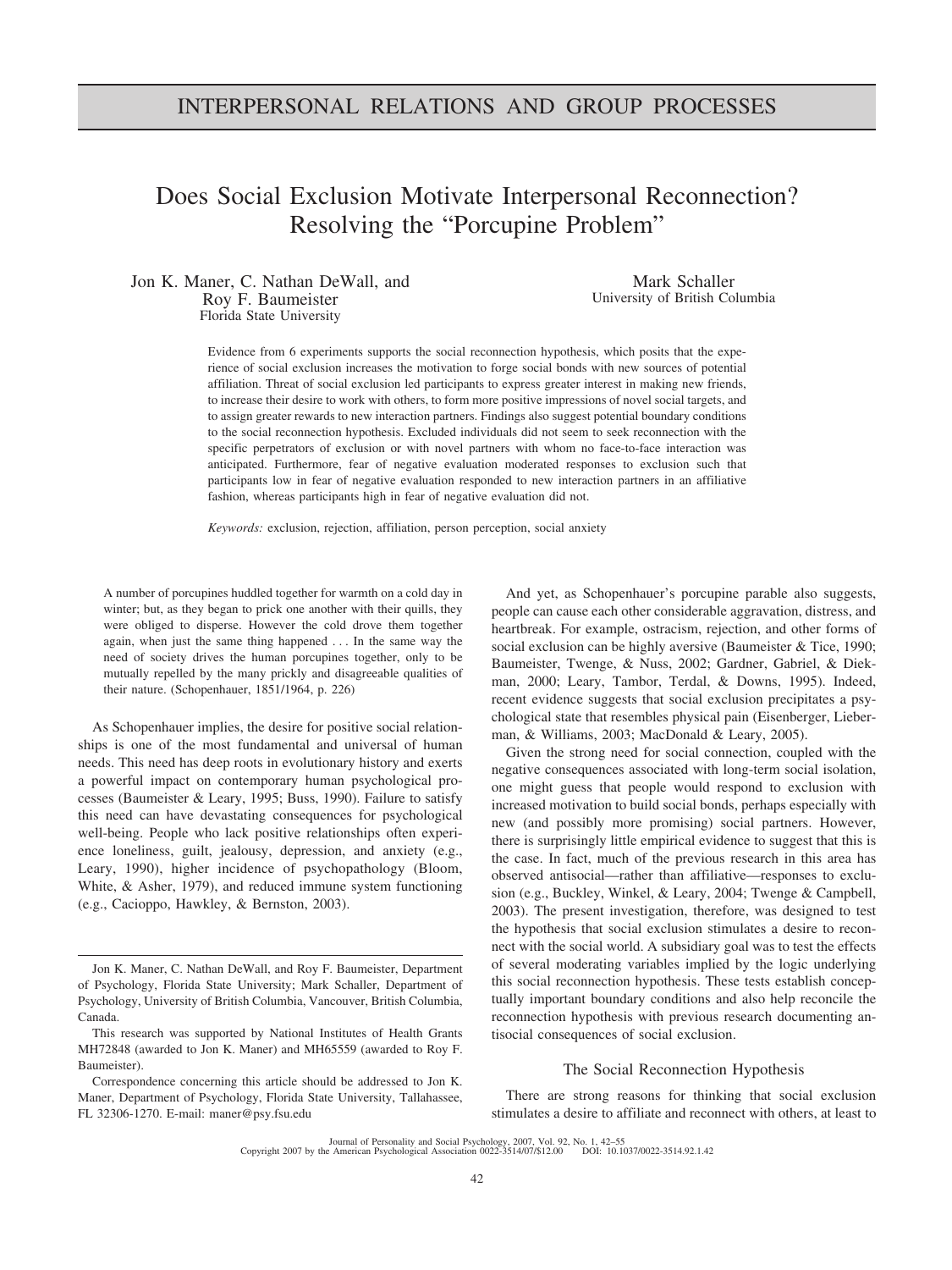# INTERPERSONAL RELATIONS AND GROUP PROCESSES

# Does Social Exclusion Motivate Interpersonal Reconnection? Resolving the "Porcupine Problem"

Jon K. Maner, C. Nathan DeWall, and Roy F. Baumeister Florida State University

Mark Schaller University of British Columbia

Evidence from 6 experiments supports the social reconnection hypothesis, which posits that the experience of social exclusion increases the motivation to forge social bonds with new sources of potential affiliation. Threat of social exclusion led participants to express greater interest in making new friends, to increase their desire to work with others, to form more positive impressions of novel social targets, and to assign greater rewards to new interaction partners. Findings also suggest potential boundary conditions to the social reconnection hypothesis. Excluded individuals did not seem to seek reconnection with the specific perpetrators of exclusion or with novel partners with whom no face-to-face interaction was anticipated. Furthermore, fear of negative evaluation moderated responses to exclusion such that participants low in fear of negative evaluation responded to new interaction partners in an affiliative fashion, whereas participants high in fear of negative evaluation did not.

*Keywords:* exclusion, rejection, affiliation, person perception, social anxiety

A number of porcupines huddled together for warmth on a cold day in winter; but, as they began to prick one another with their quills, they were obliged to disperse. However the cold drove them together again, when just the same thing happened . . . In the same way the need of society drives the human porcupines together, only to be mutually repelled by the many prickly and disagreeable qualities of their nature. (Schopenhauer, 1851/1964, p. 226)

As Schopenhauer implies, the desire for positive social relationships is one of the most fundamental and universal of human needs. This need has deep roots in evolutionary history and exerts a powerful impact on contemporary human psychological processes (Baumeister & Leary, 1995; Buss, 1990). Failure to satisfy this need can have devastating consequences for psychological well-being. People who lack positive relationships often experience loneliness, guilt, jealousy, depression, and anxiety (e.g., Leary, 1990), higher incidence of psychopathology (Bloom, White, & Asher, 1979), and reduced immune system functioning (e.g., Cacioppo, Hawkley, & Bernston, 2003).

And yet, as Schopenhauer's porcupine parable also suggests, people can cause each other considerable aggravation, distress, and heartbreak. For example, ostracism, rejection, and other forms of social exclusion can be highly aversive (Baumeister & Tice, 1990; Baumeister, Twenge, & Nuss, 2002; Gardner, Gabriel, & Diekman, 2000; Leary, Tambor, Terdal, & Downs, 1995). Indeed, recent evidence suggests that social exclusion precipitates a psychological state that resembles physical pain (Eisenberger, Lieberman, & Williams, 2003; MacDonald & Leary, 2005).

Given the strong need for social connection, coupled with the negative consequences associated with long-term social isolation, one might guess that people would respond to exclusion with increased motivation to build social bonds, perhaps especially with new (and possibly more promising) social partners. However, there is surprisingly little empirical evidence to suggest that this is the case. In fact, much of the previous research in this area has observed antisocial—rather than affiliative—responses to exclusion (e.g., Buckley, Winkel, & Leary, 2004; Twenge & Campbell, 2003). The present investigation, therefore, was designed to test the hypothesis that social exclusion stimulates a desire to reconnect with the social world. A subsidiary goal was to test the effects of several moderating variables implied by the logic underlying this social reconnection hypothesis. These tests establish conceptually important boundary conditions and also help reconcile the reconnection hypothesis with previous research documenting antisocial consequences of social exclusion.

#### The Social Reconnection Hypothesis

There are strong reasons for thinking that social exclusion stimulates a desire to affiliate and reconnect with others, at least to

Journal of Personality and Social Psychology, 2007, Vol. 92, No. 1, 42–55 Copyright 2007 by the American Psychological Association 0022-3514/07/\$12.00 DOI: 10.1037/0022-3514.92.1.42

Jon K. Maner, C. Nathan DeWall, and Roy F. Baumeister, Department of Psychology, Florida State University; Mark Schaller, Department of Psychology, University of British Columbia, Vancouver, British Columbia, Canada.

This research was supported by National Institutes of Health Grants MH72848 (awarded to Jon K. Maner) and MH65559 (awarded to Roy F. Baumeister).

Correspondence concerning this article should be addressed to Jon K. Maner, Department of Psychology, Florida State University, Tallahassee, FL 32306-1270. E-mail: maner@psy.fsu.edu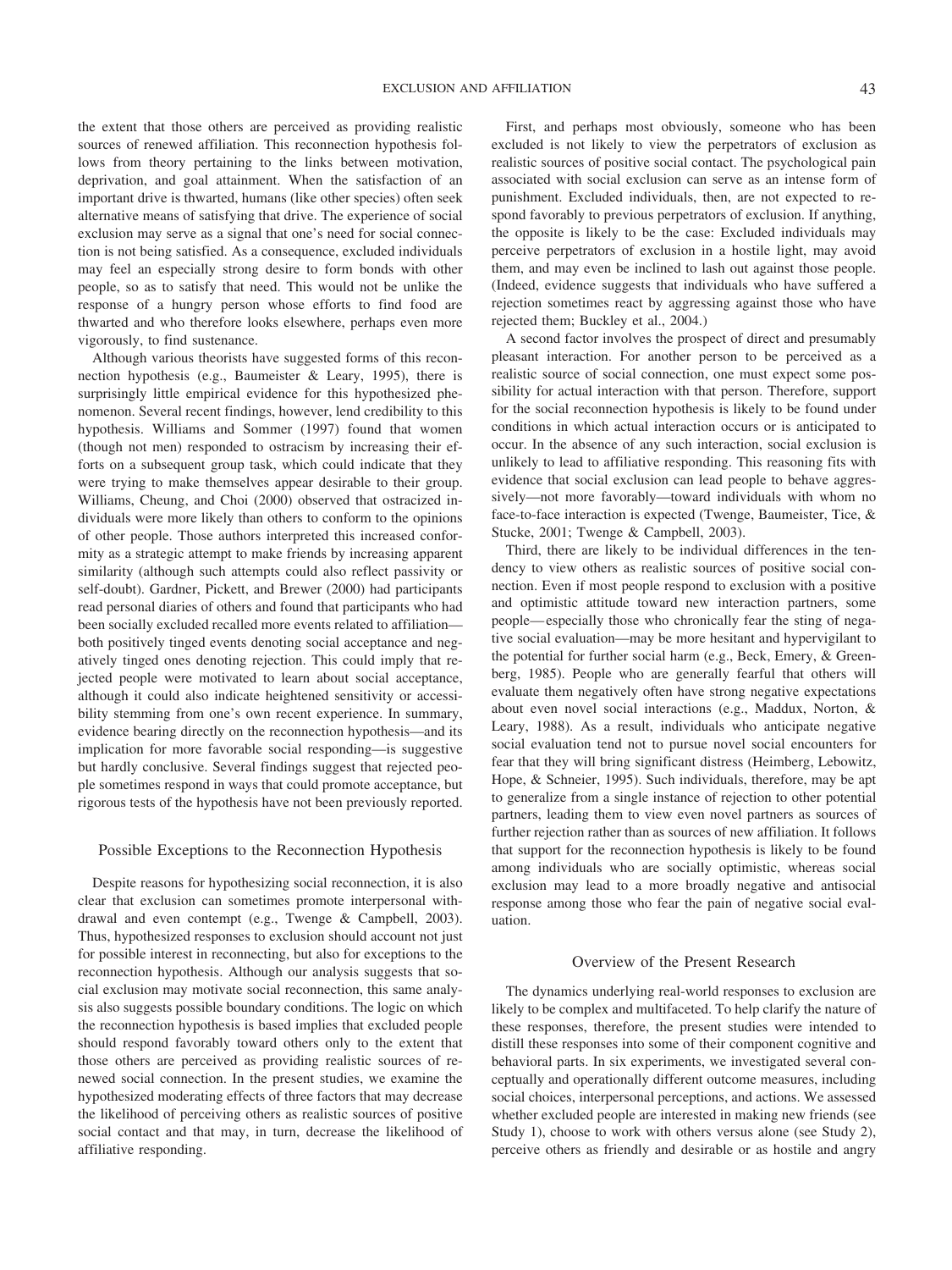the extent that those others are perceived as providing realistic sources of renewed affiliation. This reconnection hypothesis follows from theory pertaining to the links between motivation, deprivation, and goal attainment. When the satisfaction of an important drive is thwarted, humans (like other species) often seek alternative means of satisfying that drive. The experience of social exclusion may serve as a signal that one's need for social connection is not being satisfied. As a consequence, excluded individuals may feel an especially strong desire to form bonds with other people, so as to satisfy that need. This would not be unlike the response of a hungry person whose efforts to find food are thwarted and who therefore looks elsewhere, perhaps even more vigorously, to find sustenance.

Although various theorists have suggested forms of this reconnection hypothesis (e.g., Baumeister & Leary, 1995), there is surprisingly little empirical evidence for this hypothesized phenomenon. Several recent findings, however, lend credibility to this hypothesis. Williams and Sommer (1997) found that women (though not men) responded to ostracism by increasing their efforts on a subsequent group task, which could indicate that they were trying to make themselves appear desirable to their group. Williams, Cheung, and Choi (2000) observed that ostracized individuals were more likely than others to conform to the opinions of other people. Those authors interpreted this increased conformity as a strategic attempt to make friends by increasing apparent similarity (although such attempts could also reflect passivity or self-doubt). Gardner, Pickett, and Brewer (2000) had participants read personal diaries of others and found that participants who had been socially excluded recalled more events related to affiliation both positively tinged events denoting social acceptance and negatively tinged ones denoting rejection. This could imply that rejected people were motivated to learn about social acceptance, although it could also indicate heightened sensitivity or accessibility stemming from one's own recent experience. In summary, evidence bearing directly on the reconnection hypothesis—and its implication for more favorable social responding—is suggestive but hardly conclusive. Several findings suggest that rejected people sometimes respond in ways that could promote acceptance, but rigorous tests of the hypothesis have not been previously reported.

#### Possible Exceptions to the Reconnection Hypothesis

Despite reasons for hypothesizing social reconnection, it is also clear that exclusion can sometimes promote interpersonal withdrawal and even contempt (e.g., Twenge & Campbell, 2003). Thus, hypothesized responses to exclusion should account not just for possible interest in reconnecting, but also for exceptions to the reconnection hypothesis. Although our analysis suggests that social exclusion may motivate social reconnection, this same analysis also suggests possible boundary conditions. The logic on which the reconnection hypothesis is based implies that excluded people should respond favorably toward others only to the extent that those others are perceived as providing realistic sources of renewed social connection. In the present studies, we examine the hypothesized moderating effects of three factors that may decrease the likelihood of perceiving others as realistic sources of positive social contact and that may, in turn, decrease the likelihood of affiliative responding.

First, and perhaps most obviously, someone who has been excluded is not likely to view the perpetrators of exclusion as realistic sources of positive social contact. The psychological pain associated with social exclusion can serve as an intense form of punishment. Excluded individuals, then, are not expected to respond favorably to previous perpetrators of exclusion. If anything, the opposite is likely to be the case: Excluded individuals may perceive perpetrators of exclusion in a hostile light, may avoid them, and may even be inclined to lash out against those people. (Indeed, evidence suggests that individuals who have suffered a rejection sometimes react by aggressing against those who have rejected them; Buckley et al., 2004.)

A second factor involves the prospect of direct and presumably pleasant interaction. For another person to be perceived as a realistic source of social connection, one must expect some possibility for actual interaction with that person. Therefore, support for the social reconnection hypothesis is likely to be found under conditions in which actual interaction occurs or is anticipated to occur. In the absence of any such interaction, social exclusion is unlikely to lead to affiliative responding. This reasoning fits with evidence that social exclusion can lead people to behave aggressively—not more favorably—toward individuals with whom no face-to-face interaction is expected (Twenge, Baumeister, Tice, & Stucke, 2001; Twenge & Campbell, 2003).

Third, there are likely to be individual differences in the tendency to view others as realistic sources of positive social connection. Even if most people respond to exclusion with a positive and optimistic attitude toward new interaction partners, some people— especially those who chronically fear the sting of negative social evaluation—may be more hesitant and hypervigilant to the potential for further social harm (e.g., Beck, Emery, & Greenberg, 1985). People who are generally fearful that others will evaluate them negatively often have strong negative expectations about even novel social interactions (e.g., Maddux, Norton, & Leary, 1988). As a result, individuals who anticipate negative social evaluation tend not to pursue novel social encounters for fear that they will bring significant distress (Heimberg, Lebowitz, Hope, & Schneier, 1995). Such individuals, therefore, may be apt to generalize from a single instance of rejection to other potential partners, leading them to view even novel partners as sources of further rejection rather than as sources of new affiliation. It follows that support for the reconnection hypothesis is likely to be found among individuals who are socially optimistic, whereas social exclusion may lead to a more broadly negative and antisocial response among those who fear the pain of negative social evaluation.

## Overview of the Present Research

The dynamics underlying real-world responses to exclusion are likely to be complex and multifaceted. To help clarify the nature of these responses, therefore, the present studies were intended to distill these responses into some of their component cognitive and behavioral parts. In six experiments, we investigated several conceptually and operationally different outcome measures, including social choices, interpersonal perceptions, and actions. We assessed whether excluded people are interested in making new friends (see Study 1), choose to work with others versus alone (see Study 2), perceive others as friendly and desirable or as hostile and angry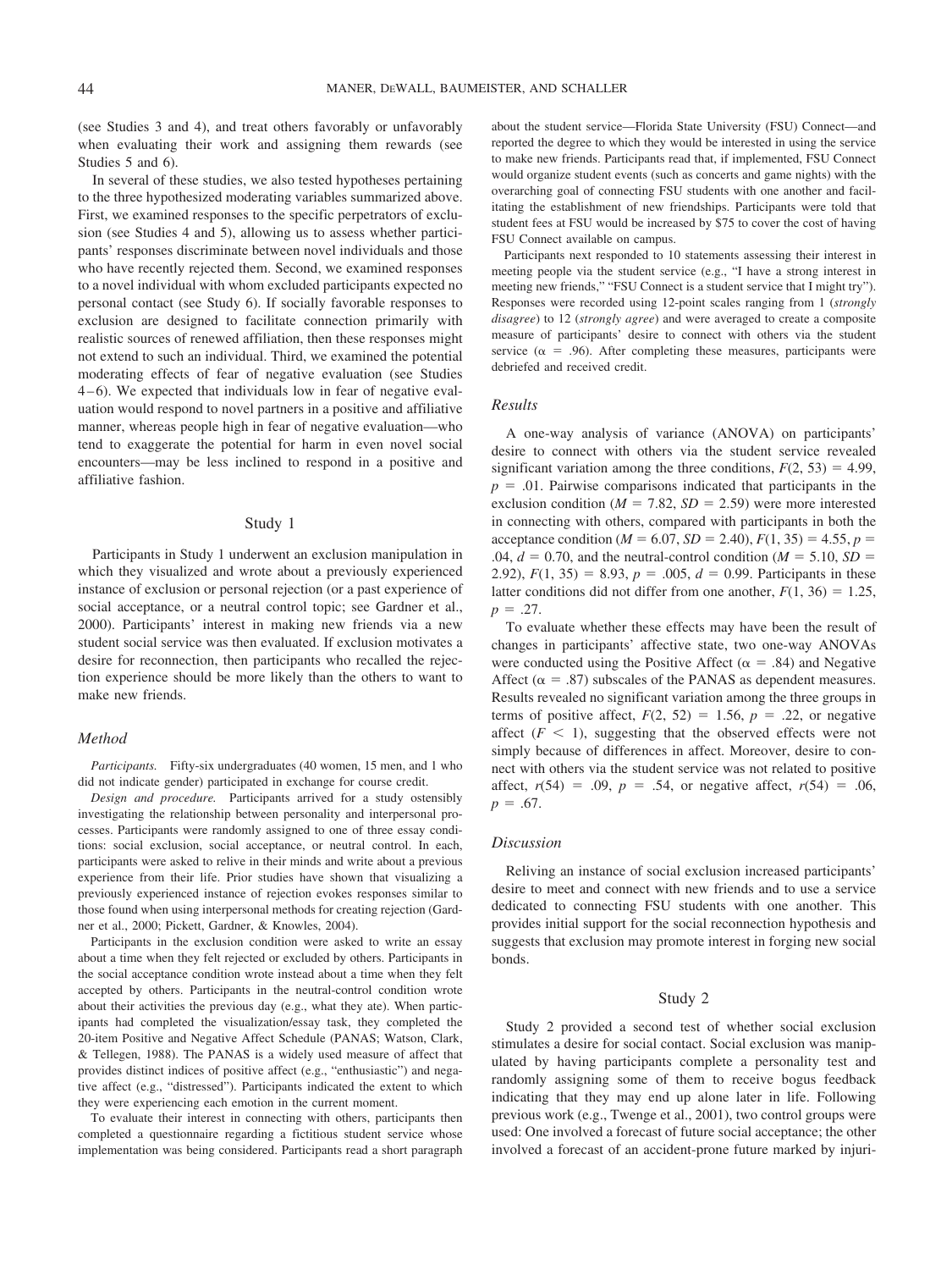(see Studies 3 and 4), and treat others favorably or unfavorably when evaluating their work and assigning them rewards (see Studies 5 and 6).

In several of these studies, we also tested hypotheses pertaining to the three hypothesized moderating variables summarized above. First, we examined responses to the specific perpetrators of exclusion (see Studies 4 and 5), allowing us to assess whether participants' responses discriminate between novel individuals and those who have recently rejected them. Second, we examined responses to a novel individual with whom excluded participants expected no personal contact (see Study 6). If socially favorable responses to exclusion are designed to facilitate connection primarily with realistic sources of renewed affiliation, then these responses might not extend to such an individual. Third, we examined the potential moderating effects of fear of negative evaluation (see Studies 4 – 6). We expected that individuals low in fear of negative evaluation would respond to novel partners in a positive and affiliative manner, whereas people high in fear of negative evaluation—who tend to exaggerate the potential for harm in even novel social encounters—may be less inclined to respond in a positive and affiliative fashion.

#### Study 1

Participants in Study 1 underwent an exclusion manipulation in which they visualized and wrote about a previously experienced instance of exclusion or personal rejection (or a past experience of social acceptance, or a neutral control topic; see Gardner et al., 2000). Participants' interest in making new friends via a new student social service was then evaluated. If exclusion motivates a desire for reconnection, then participants who recalled the rejection experience should be more likely than the others to want to make new friends.

#### *Method*

*Participants.* Fifty-six undergraduates (40 women, 15 men, and 1 who did not indicate gender) participated in exchange for course credit.

*Design and procedure.* Participants arrived for a study ostensibly investigating the relationship between personality and interpersonal processes. Participants were randomly assigned to one of three essay conditions: social exclusion, social acceptance, or neutral control. In each, participants were asked to relive in their minds and write about a previous experience from their life. Prior studies have shown that visualizing a previously experienced instance of rejection evokes responses similar to those found when using interpersonal methods for creating rejection (Gardner et al., 2000; Pickett, Gardner, & Knowles, 2004).

Participants in the exclusion condition were asked to write an essay about a time when they felt rejected or excluded by others. Participants in the social acceptance condition wrote instead about a time when they felt accepted by others. Participants in the neutral-control condition wrote about their activities the previous day (e.g., what they ate). When participants had completed the visualization/essay task, they completed the 20-item Positive and Negative Affect Schedule (PANAS; Watson, Clark, & Tellegen, 1988). The PANAS is a widely used measure of affect that provides distinct indices of positive affect (e.g., "enthusiastic") and negative affect (e.g., "distressed"). Participants indicated the extent to which they were experiencing each emotion in the current moment.

To evaluate their interest in connecting with others, participants then completed a questionnaire regarding a fictitious student service whose implementation was being considered. Participants read a short paragraph about the student service—Florida State University (FSU) Connect—and reported the degree to which they would be interested in using the service to make new friends. Participants read that, if implemented, FSU Connect would organize student events (such as concerts and game nights) with the overarching goal of connecting FSU students with one another and facilitating the establishment of new friendships. Participants were told that student fees at FSU would be increased by \$75 to cover the cost of having FSU Connect available on campus.

Participants next responded to 10 statements assessing their interest in meeting people via the student service (e.g., "I have a strong interest in meeting new friends," "FSU Connect is a student service that I might try"). Responses were recorded using 12-point scales ranging from 1 (*strongly disagree*) to 12 (*strongly agree*) and were averaged to create a composite measure of participants' desire to connect with others via the student service ( $\alpha$  = .96). After completing these measures, participants were debriefed and received credit.

#### *Results*

A one-way analysis of variance (ANOVA) on participants' desire to connect with others via the student service revealed significant variation among the three conditions,  $F(2, 53) = 4.99$ ,  $p = 0.01$ . Pairwise comparisons indicated that participants in the exclusion condition ( $M = 7.82$ ,  $SD = 2.59$ ) were more interested in connecting with others, compared with participants in both the  $\text{acceptance condition} \ (M = 6.07, SD = 2.40), F(1, 35) = 4.55, p =$  $.04, d = 0.70$ , and the neutral-control condition ( $M = 5.10, SD =$ 2.92),  $F(1, 35) = 8.93$ ,  $p = .005$ ,  $d = 0.99$ . Participants in these latter conditions did not differ from one another,  $F(1, 36) = 1.25$ ,  $p = .27$ .

To evaluate whether these effects may have been the result of changes in participants' affective state, two one-way ANOVAs were conducted using the Positive Affect ( $\alpha = .84$ ) and Negative Affect ( $\alpha = .87$ ) subscales of the PANAS as dependent measures. Results revealed no significant variation among the three groups in terms of positive affect,  $F(2, 52) = 1.56$ ,  $p = .22$ , or negative affect  $(F < 1)$ , suggesting that the observed effects were not simply because of differences in affect. Moreover, desire to connect with others via the student service was not related to positive affect,  $r(54) = .09$ ,  $p = .54$ , or negative affect,  $r(54) = .06$ ,  $p = .67$ .

#### *Discussion*

Reliving an instance of social exclusion increased participants' desire to meet and connect with new friends and to use a service dedicated to connecting FSU students with one another. This provides initial support for the social reconnection hypothesis and suggests that exclusion may promote interest in forging new social bonds.

## Study 2

Study 2 provided a second test of whether social exclusion stimulates a desire for social contact. Social exclusion was manipulated by having participants complete a personality test and randomly assigning some of them to receive bogus feedback indicating that they may end up alone later in life. Following previous work (e.g., Twenge et al., 2001), two control groups were used: One involved a forecast of future social acceptance; the other involved a forecast of an accident-prone future marked by injuri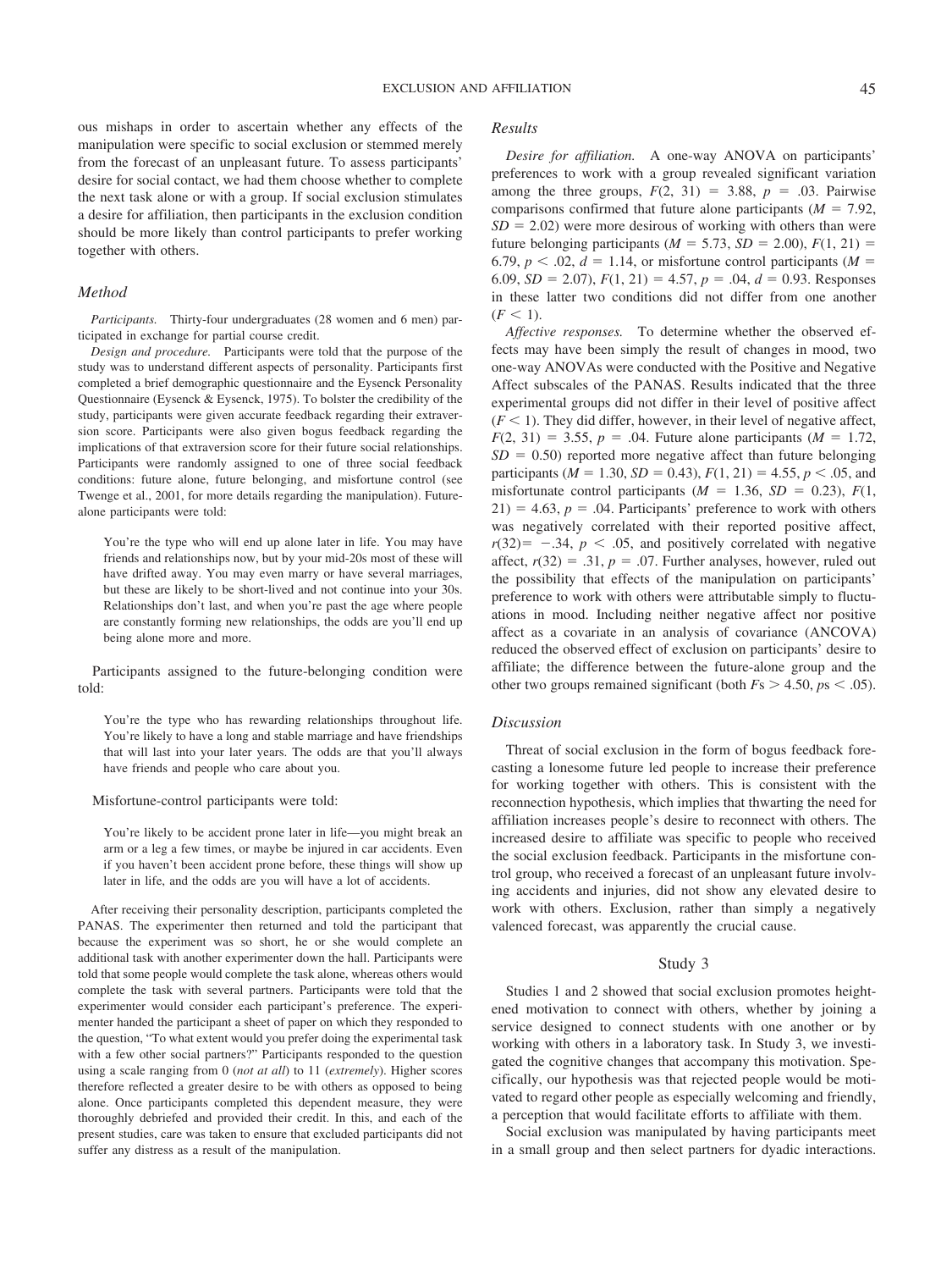ous mishaps in order to ascertain whether any effects of the manipulation were specific to social exclusion or stemmed merely from the forecast of an unpleasant future. To assess participants' desire for social contact, we had them choose whether to complete the next task alone or with a group. If social exclusion stimulates a desire for affiliation, then participants in the exclusion condition should be more likely than control participants to prefer working together with others.

#### *Method*

*Participants.* Thirty-four undergraduates (28 women and 6 men) participated in exchange for partial course credit.

*Design and procedure.* Participants were told that the purpose of the study was to understand different aspects of personality. Participants first completed a brief demographic questionnaire and the Eysenck Personality Questionnaire (Eysenck & Eysenck, 1975). To bolster the credibility of the study, participants were given accurate feedback regarding their extraversion score. Participants were also given bogus feedback regarding the implications of that extraversion score for their future social relationships. Participants were randomly assigned to one of three social feedback conditions: future alone, future belonging, and misfortune control (see Twenge et al., 2001, for more details regarding the manipulation). Futurealone participants were told:

You're the type who will end up alone later in life. You may have friends and relationships now, but by your mid-20s most of these will have drifted away. You may even marry or have several marriages, but these are likely to be short-lived and not continue into your 30s. Relationships don't last, and when you're past the age where people are constantly forming new relationships, the odds are you'll end up being alone more and more.

Participants assigned to the future-belonging condition were told:

You're the type who has rewarding relationships throughout life. You're likely to have a long and stable marriage and have friendships that will last into your later years. The odds are that you'll always have friends and people who care about you.

#### Misfortune-control participants were told:

You're likely to be accident prone later in life—you might break an arm or a leg a few times, or maybe be injured in car accidents. Even if you haven't been accident prone before, these things will show up later in life, and the odds are you will have a lot of accidents.

After receiving their personality description, participants completed the PANAS. The experimenter then returned and told the participant that because the experiment was so short, he or she would complete an additional task with another experimenter down the hall. Participants were told that some people would complete the task alone, whereas others would complete the task with several partners. Participants were told that the experimenter would consider each participant's preference. The experimenter handed the participant a sheet of paper on which they responded to the question, "To what extent would you prefer doing the experimental task with a few other social partners?" Participants responded to the question using a scale ranging from 0 (*not at all*) to 11 (*extremely*). Higher scores therefore reflected a greater desire to be with others as opposed to being alone. Once participants completed this dependent measure, they were thoroughly debriefed and provided their credit. In this, and each of the present studies, care was taken to ensure that excluded participants did not suffer any distress as a result of the manipulation.

#### *Results*

*Desire for affiliation.* A one-way ANOVA on participants' preferences to work with a group revealed significant variation among the three groups,  $F(2, 31) = 3.88$ ,  $p = .03$ . Pairwise comparisons confirmed that future alone participants  $(M = 7.92)$ ,  $SD = 2.02$ ) were more desirous of working with others than were future belonging participants ( $M = 5.73$ ,  $SD = 2.00$ ),  $F(1, 21) =$ 6.79,  $p < 0.02$ ,  $d = 1.14$ , or misfortune control participants ( $M =$ 6.09,  $SD = 2.07$ ,  $F(1, 21) = 4.57$ ,  $p = .04$ ,  $d = 0.93$ . Responses in these latter two conditions did not differ from one another  $(F < 1)$ .

*Affective responses.* To determine whether the observed effects may have been simply the result of changes in mood, two one-way ANOVAs were conducted with the Positive and Negative Affect subscales of the PANAS. Results indicated that the three experimental groups did not differ in their level of positive affect  $(F < 1)$ . They did differ, however, in their level of negative affect,  $F(2, 31) = 3.55, p = .04$ . Future alone participants (*M* = 1.72,  $SD = 0.50$ ) reported more negative affect than future belonging participants ( $M = 1.30$ ,  $SD = 0.43$ ),  $F(1, 21) = 4.55$ ,  $p < .05$ , and misfortunate control participants  $(M = 1.36, SD = 0.23), F(1,$  $21$ ) = 4.63,  $p = 0.04$ . Participants' preference to work with others was negatively correlated with their reported positive affect,  $r(32) = -34$ ,  $p < .05$ , and positively correlated with negative affect,  $r(32) = .31$ ,  $p = .07$ . Further analyses, however, ruled out the possibility that effects of the manipulation on participants' preference to work with others were attributable simply to fluctuations in mood. Including neither negative affect nor positive affect as a covariate in an analysis of covariance (ANCOVA) reduced the observed effect of exclusion on participants' desire to affiliate; the difference between the future-alone group and the other two groups remained significant (both  $Fs > 4.50$ ,  $ps < .05$ ).

## *Discussion*

Threat of social exclusion in the form of bogus feedback forecasting a lonesome future led people to increase their preference for working together with others. This is consistent with the reconnection hypothesis, which implies that thwarting the need for affiliation increases people's desire to reconnect with others. The increased desire to affiliate was specific to people who received the social exclusion feedback. Participants in the misfortune control group, who received a forecast of an unpleasant future involving accidents and injuries, did not show any elevated desire to work with others. Exclusion, rather than simply a negatively valenced forecast, was apparently the crucial cause.

#### Study 3

Studies 1 and 2 showed that social exclusion promotes heightened motivation to connect with others, whether by joining a service designed to connect students with one another or by working with others in a laboratory task. In Study 3, we investigated the cognitive changes that accompany this motivation. Specifically, our hypothesis was that rejected people would be motivated to regard other people as especially welcoming and friendly, a perception that would facilitate efforts to affiliate with them.

Social exclusion was manipulated by having participants meet in a small group and then select partners for dyadic interactions.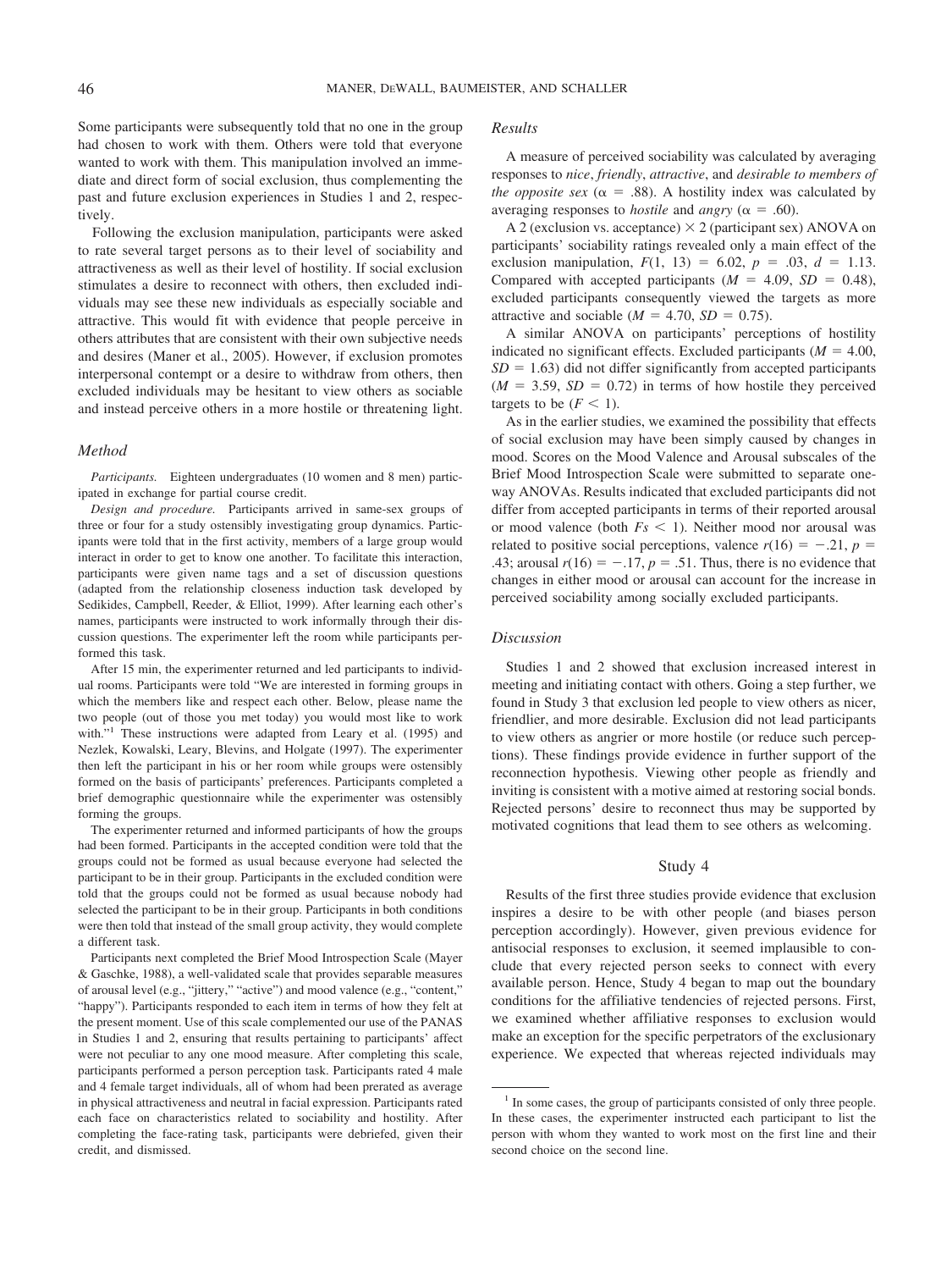Some participants were subsequently told that no one in the group had chosen to work with them. Others were told that everyone wanted to work with them. This manipulation involved an immediate and direct form of social exclusion, thus complementing the past and future exclusion experiences in Studies 1 and 2, respectively.

Following the exclusion manipulation, participants were asked to rate several target persons as to their level of sociability and attractiveness as well as their level of hostility. If social exclusion stimulates a desire to reconnect with others, then excluded individuals may see these new individuals as especially sociable and attractive. This would fit with evidence that people perceive in others attributes that are consistent with their own subjective needs and desires (Maner et al., 2005). However, if exclusion promotes interpersonal contempt or a desire to withdraw from others, then excluded individuals may be hesitant to view others as sociable and instead perceive others in a more hostile or threatening light.

## *Method*

*Participants.* Eighteen undergraduates (10 women and 8 men) participated in exchange for partial course credit.

*Design and procedure.* Participants arrived in same-sex groups of three or four for a study ostensibly investigating group dynamics. Participants were told that in the first activity, members of a large group would interact in order to get to know one another. To facilitate this interaction, participants were given name tags and a set of discussion questions (adapted from the relationship closeness induction task developed by Sedikides, Campbell, Reeder, & Elliot, 1999). After learning each other's names, participants were instructed to work informally through their discussion questions. The experimenter left the room while participants performed this task.

After 15 min, the experimenter returned and led participants to individual rooms. Participants were told "We are interested in forming groups in which the members like and respect each other. Below, please name the two people (out of those you met today) you would most like to work with."<sup>1</sup> These instructions were adapted from Leary et al. (1995) and Nezlek, Kowalski, Leary, Blevins, and Holgate (1997). The experimenter then left the participant in his or her room while groups were ostensibly formed on the basis of participants' preferences. Participants completed a brief demographic questionnaire while the experimenter was ostensibly forming the groups.

The experimenter returned and informed participants of how the groups had been formed. Participants in the accepted condition were told that the groups could not be formed as usual because everyone had selected the participant to be in their group. Participants in the excluded condition were told that the groups could not be formed as usual because nobody had selected the participant to be in their group. Participants in both conditions were then told that instead of the small group activity, they would complete a different task.

Participants next completed the Brief Mood Introspection Scale (Mayer & Gaschke, 1988), a well-validated scale that provides separable measures of arousal level (e.g., "jittery," "active") and mood valence (e.g., "content," "happy"). Participants responded to each item in terms of how they felt at the present moment. Use of this scale complemented our use of the PANAS in Studies 1 and 2, ensuring that results pertaining to participants' affect were not peculiar to any one mood measure. After completing this scale, participants performed a person perception task. Participants rated 4 male and 4 female target individuals, all of whom had been prerated as average in physical attractiveness and neutral in facial expression. Participants rated each face on characteristics related to sociability and hostility. After completing the face-rating task, participants were debriefed, given their credit, and dismissed.

#### *Results*

A measure of perceived sociability was calculated by averaging responses to *nice*, *friendly*, *attractive*, and *desirable to members of the opposite sex* ( $\alpha = .88$ ). A hostility index was calculated by averaging responses to *hostile* and *angry* ( $\alpha = .60$ ).

A 2 (exclusion vs. acceptance)  $\times$  2 (participant sex) ANOVA on participants' sociability ratings revealed only a main effect of the exclusion manipulation,  $F(1, 13) = 6.02$ ,  $p = .03$ ,  $d = 1.13$ . Compared with accepted participants  $(M = 4.09, SD = 0.48)$ , excluded participants consequently viewed the targets as more attractive and sociable  $(M = 4.70, SD = 0.75)$ .

A similar ANOVA on participants' perceptions of hostility indicated no significant effects. Excluded participants  $(M = 4.00,$  $SD = 1.63$ ) did not differ significantly from accepted participants  $(M = 3.59, SD = 0.72)$  in terms of how hostile they perceived targets to be  $(F < 1)$ .

As in the earlier studies, we examined the possibility that effects of social exclusion may have been simply caused by changes in mood. Scores on the Mood Valence and Arousal subscales of the Brief Mood Introspection Scale were submitted to separate oneway ANOVAs. Results indicated that excluded participants did not differ from accepted participants in terms of their reported arousal or mood valence (both  $Fs < 1$ ). Neither mood nor arousal was related to positive social perceptions, valence  $r(16) = -.21$ ,  $p =$ .43; arousal  $r(16) = -.17$ ,  $p = .51$ . Thus, there is no evidence that changes in either mood or arousal can account for the increase in perceived sociability among socially excluded participants.

#### *Discussion*

Studies 1 and 2 showed that exclusion increased interest in meeting and initiating contact with others. Going a step further, we found in Study 3 that exclusion led people to view others as nicer, friendlier, and more desirable. Exclusion did not lead participants to view others as angrier or more hostile (or reduce such perceptions). These findings provide evidence in further support of the reconnection hypothesis. Viewing other people as friendly and inviting is consistent with a motive aimed at restoring social bonds. Rejected persons' desire to reconnect thus may be supported by motivated cognitions that lead them to see others as welcoming.

#### Study 4

Results of the first three studies provide evidence that exclusion inspires a desire to be with other people (and biases person perception accordingly). However, given previous evidence for antisocial responses to exclusion, it seemed implausible to conclude that every rejected person seeks to connect with every available person. Hence, Study 4 began to map out the boundary conditions for the affiliative tendencies of rejected persons. First, we examined whether affiliative responses to exclusion would make an exception for the specific perpetrators of the exclusionary experience. We expected that whereas rejected individuals may

<sup>&</sup>lt;sup>1</sup> In some cases, the group of participants consisted of only three people. In these cases, the experimenter instructed each participant to list the person with whom they wanted to work most on the first line and their second choice on the second line.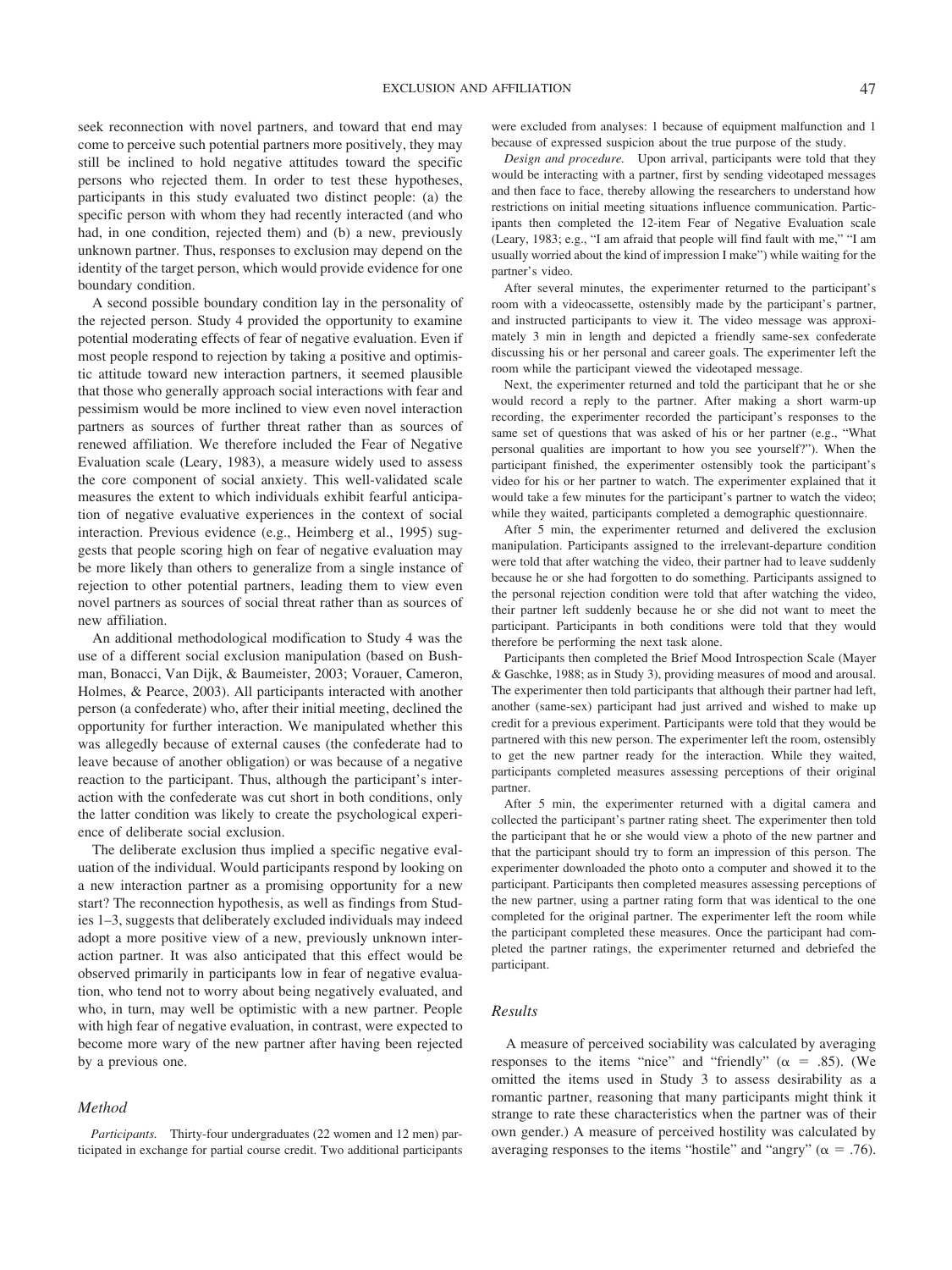seek reconnection with novel partners, and toward that end may come to perceive such potential partners more positively, they may still be inclined to hold negative attitudes toward the specific persons who rejected them. In order to test these hypotheses, participants in this study evaluated two distinct people: (a) the specific person with whom they had recently interacted (and who had, in one condition, rejected them) and (b) a new, previously unknown partner. Thus, responses to exclusion may depend on the identity of the target person, which would provide evidence for one boundary condition.

A second possible boundary condition lay in the personality of the rejected person. Study 4 provided the opportunity to examine potential moderating effects of fear of negative evaluation. Even if most people respond to rejection by taking a positive and optimistic attitude toward new interaction partners, it seemed plausible that those who generally approach social interactions with fear and pessimism would be more inclined to view even novel interaction partners as sources of further threat rather than as sources of renewed affiliation. We therefore included the Fear of Negative Evaluation scale (Leary, 1983), a measure widely used to assess the core component of social anxiety. This well-validated scale measures the extent to which individuals exhibit fearful anticipation of negative evaluative experiences in the context of social interaction. Previous evidence (e.g., Heimberg et al., 1995) suggests that people scoring high on fear of negative evaluation may be more likely than others to generalize from a single instance of rejection to other potential partners, leading them to view even novel partners as sources of social threat rather than as sources of new affiliation.

An additional methodological modification to Study 4 was the use of a different social exclusion manipulation (based on Bushman, Bonacci, Van Dijk, & Baumeister, 2003; Vorauer, Cameron, Holmes, & Pearce, 2003). All participants interacted with another person (a confederate) who, after their initial meeting, declined the opportunity for further interaction. We manipulated whether this was allegedly because of external causes (the confederate had to leave because of another obligation) or was because of a negative reaction to the participant. Thus, although the participant's interaction with the confederate was cut short in both conditions, only the latter condition was likely to create the psychological experience of deliberate social exclusion.

The deliberate exclusion thus implied a specific negative evaluation of the individual. Would participants respond by looking on a new interaction partner as a promising opportunity for a new start? The reconnection hypothesis, as well as findings from Studies 1–3, suggests that deliberately excluded individuals may indeed adopt a more positive view of a new, previously unknown interaction partner. It was also anticipated that this effect would be observed primarily in participants low in fear of negative evaluation, who tend not to worry about being negatively evaluated, and who, in turn, may well be optimistic with a new partner. People with high fear of negative evaluation, in contrast, were expected to become more wary of the new partner after having been rejected by a previous one.

#### *Method*

*Participants.* Thirty-four undergraduates (22 women and 12 men) participated in exchange for partial course credit. Two additional participants were excluded from analyses: 1 because of equipment malfunction and 1 because of expressed suspicion about the true purpose of the study.

*Design and procedure.* Upon arrival, participants were told that they would be interacting with a partner, first by sending videotaped messages and then face to face, thereby allowing the researchers to understand how restrictions on initial meeting situations influence communication. Participants then completed the 12-item Fear of Negative Evaluation scale (Leary, 1983; e.g., "I am afraid that people will find fault with me," "I am usually worried about the kind of impression I make") while waiting for the partner's video.

After several minutes, the experimenter returned to the participant's room with a videocassette, ostensibly made by the participant's partner, and instructed participants to view it. The video message was approximately 3 min in length and depicted a friendly same-sex confederate discussing his or her personal and career goals. The experimenter left the room while the participant viewed the videotaped message.

Next, the experimenter returned and told the participant that he or she would record a reply to the partner. After making a short warm-up recording, the experimenter recorded the participant's responses to the same set of questions that was asked of his or her partner (e.g., "What personal qualities are important to how you see yourself?"). When the participant finished, the experimenter ostensibly took the participant's video for his or her partner to watch. The experimenter explained that it would take a few minutes for the participant's partner to watch the video; while they waited, participants completed a demographic questionnaire.

After 5 min, the experimenter returned and delivered the exclusion manipulation. Participants assigned to the irrelevant-departure condition were told that after watching the video, their partner had to leave suddenly because he or she had forgotten to do something. Participants assigned to the personal rejection condition were told that after watching the video, their partner left suddenly because he or she did not want to meet the participant. Participants in both conditions were told that they would therefore be performing the next task alone.

Participants then completed the Brief Mood Introspection Scale (Mayer & Gaschke, 1988; as in Study 3), providing measures of mood and arousal. The experimenter then told participants that although their partner had left, another (same-sex) participant had just arrived and wished to make up credit for a previous experiment. Participants were told that they would be partnered with this new person. The experimenter left the room, ostensibly to get the new partner ready for the interaction. While they waited, participants completed measures assessing perceptions of their original partner.

After 5 min, the experimenter returned with a digital camera and collected the participant's partner rating sheet. The experimenter then told the participant that he or she would view a photo of the new partner and that the participant should try to form an impression of this person. The experimenter downloaded the photo onto a computer and showed it to the participant. Participants then completed measures assessing perceptions of the new partner, using a partner rating form that was identical to the one completed for the original partner. The experimenter left the room while the participant completed these measures. Once the participant had completed the partner ratings, the experimenter returned and debriefed the participant.

#### *Results*

A measure of perceived sociability was calculated by averaging responses to the items "nice" and "friendly" ( $\alpha$  = .85). (We omitted the items used in Study 3 to assess desirability as a romantic partner, reasoning that many participants might think it strange to rate these characteristics when the partner was of their own gender.) A measure of perceived hostility was calculated by averaging responses to the items "hostile" and "angry" ( $\alpha = .76$ ).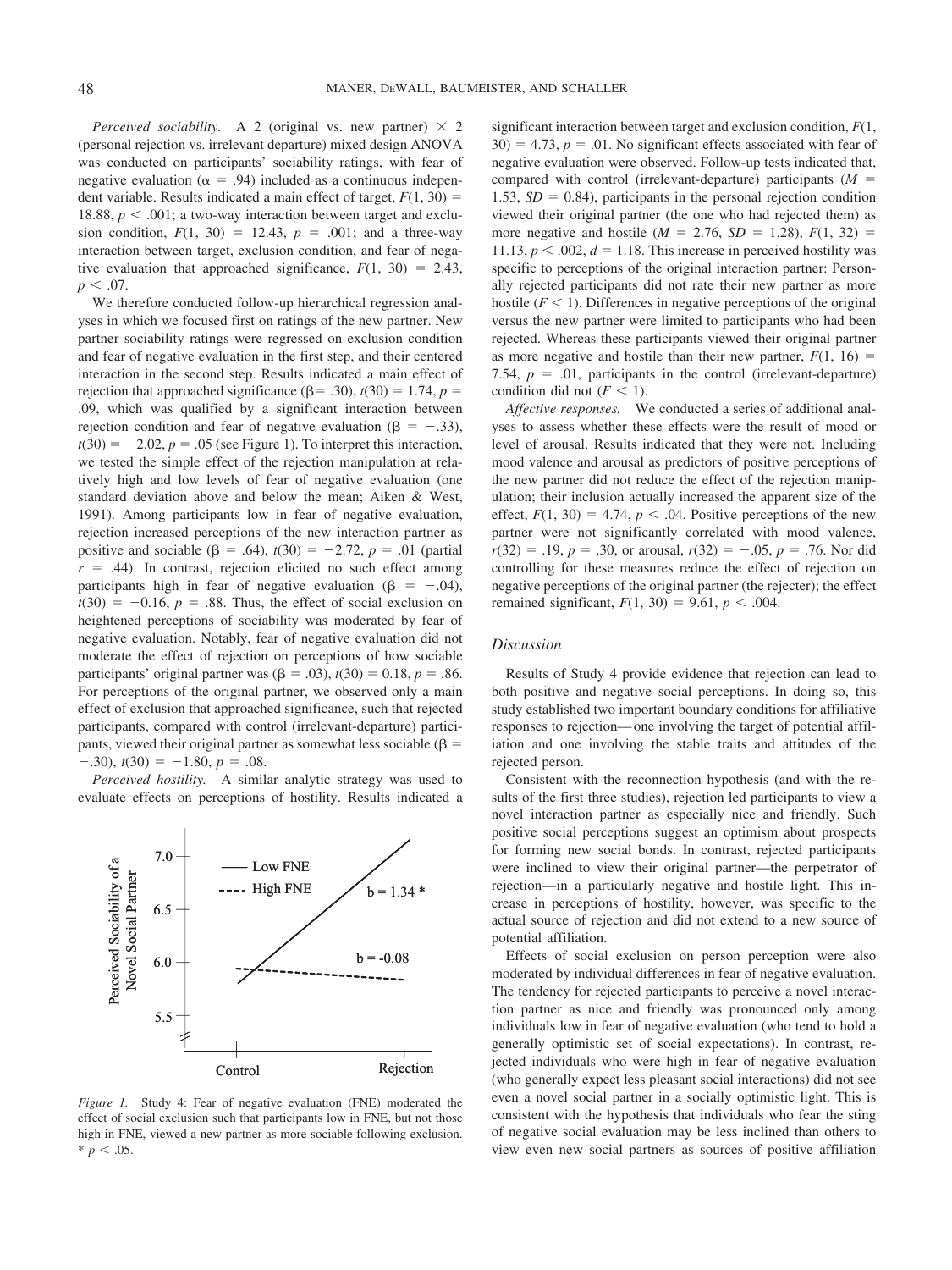*Perceived sociability.* A 2 (original vs. new partner)  $\times$  2 (personal rejection vs. irrelevant departure) mixed design ANOVA was conducted on participants' sociability ratings, with fear of negative evaluation ( $\alpha = .94$ ) included as a continuous independent variable. Results indicated a main effect of target,  $F(1, 30) =$ 18.88,  $p < .001$ ; a two-way interaction between target and exclusion condition,  $F(1, 30) = 12.43$ ,  $p = .001$ ; and a three-way interaction between target, exclusion condition, and fear of negative evaluation that approached significance,  $F(1, 30) = 2.43$ ,  $p < .07$ .

We therefore conducted follow-up hierarchical regression analyses in which we focused first on ratings of the new partner. New partner sociability ratings were regressed on exclusion condition and fear of negative evaluation in the first step, and their centered interaction in the second step. Results indicated a main effect of rejection that approached significance ( $\beta$  = .30), *t*(30) = 1.74, *p* = .09, which was qualified by a significant interaction between rejection condition and fear of negative evaluation ( $\beta = -.33$ ),  $t(30) = -2.02$ ,  $p = .05$  (see Figure 1). To interpret this interaction, we tested the simple effect of the rejection manipulation at relatively high and low levels of fear of negative evaluation (one standard deviation above and below the mean; Aiken & West, 1991). Among participants low in fear of negative evaluation, rejection increased perceptions of the new interaction partner as positive and sociable ( $\beta = .64$ ),  $t(30) = -2.72$ ,  $p = .01$  (partial  $r = .44$ ). In contrast, rejection elicited no such effect among participants high in fear of negative evaluation ( $\beta = -.04$ ),  $t(30) = -0.16$ ,  $p = .88$ . Thus, the effect of social exclusion on heightened perceptions of sociability was moderated by fear of negative evaluation. Notably, fear of negative evaluation did not moderate the effect of rejection on perceptions of how sociable participants' original partner was  $(\beta = .03)$ ,  $t(30) = 0.18$ ,  $p = .86$ . For perceptions of the original partner, we observed only a main effect of exclusion that approached significance, such that rejected participants, compared with control (irrelevant-departure) participants, viewed their original partner as somewhat less sociable ( $\beta$  =  $-0.30$ ,  $t(30) = -1.80$ ,  $p = 0.08$ .

*Perceived hostility.* A similar analytic strategy was used to evaluate effects on perceptions of hostility. Results indicated a



*Figure 1.* Study 4: Fear of negative evaluation (FNE) moderated the effect of social exclusion such that participants low in FNE, but not those high in FNE, viewed a new partner as more sociable following exclusion.  $* p < .05.$ 

significant interaction between target and exclusion condition, *F*(1,  $30) = 4.73$ ,  $p = .01$ . No significant effects associated with fear of negative evaluation were observed. Follow-up tests indicated that, compared with control (irrelevant-departure) participants  $(M =$ 1.53,  $SD = 0.84$ ), participants in the personal rejection condition viewed their original partner (the one who had rejected them) as more negative and hostile ( $M = 2.76$ ,  $SD = 1.28$ ),  $F(1, 32) =$ 11.13,  $p < .002$ ,  $d = 1.18$ . This increase in perceived hostility was specific to perceptions of the original interaction partner: Personally rejected participants did not rate their new partner as more hostile  $(F < 1)$ . Differences in negative perceptions of the original versus the new partner were limited to participants who had been rejected. Whereas these participants viewed their original partner as more negative and hostile than their new partner,  $F(1, 16) =$ 7.54,  $p = .01$ , participants in the control (irrelevant-departure) condition did not  $(F < 1)$ .

*Affective responses.* We conducted a series of additional analyses to assess whether these effects were the result of mood or level of arousal. Results indicated that they were not. Including mood valence and arousal as predictors of positive perceptions of the new partner did not reduce the effect of the rejection manipulation; their inclusion actually increased the apparent size of the effect,  $F(1, 30) = 4.74$ ,  $p < .04$ . Positive perceptions of the new partner were not significantly correlated with mood valence,  $r(32) = .19, p = .30$ , or arousal,  $r(32) = -.05, p = .76$ . Nor did controlling for these measures reduce the effect of rejection on negative perceptions of the original partner (the rejecter); the effect remained significant,  $F(1, 30) = 9.61$ ,  $p < .004$ .

## *Discussion*

Results of Study 4 provide evidence that rejection can lead to both positive and negative social perceptions. In doing so, this study established two important boundary conditions for affiliative responses to rejection— one involving the target of potential affiliation and one involving the stable traits and attitudes of the rejected person.

Consistent with the reconnection hypothesis (and with the results of the first three studies), rejection led participants to view a novel interaction partner as especially nice and friendly. Such positive social perceptions suggest an optimism about prospects for forming new social bonds. In contrast, rejected participants were inclined to view their original partner—the perpetrator of rejection—in a particularly negative and hostile light. This increase in perceptions of hostility, however, was specific to the actual source of rejection and did not extend to a new source of potential affiliation.

Effects of social exclusion on person perception were also moderated by individual differences in fear of negative evaluation. The tendency for rejected participants to perceive a novel interaction partner as nice and friendly was pronounced only among individuals low in fear of negative evaluation (who tend to hold a generally optimistic set of social expectations). In contrast, rejected individuals who were high in fear of negative evaluation (who generally expect less pleasant social interactions) did not see even a novel social partner in a socially optimistic light. This is consistent with the hypothesis that individuals who fear the sting of negative social evaluation may be less inclined than others to view even new social partners as sources of positive affiliation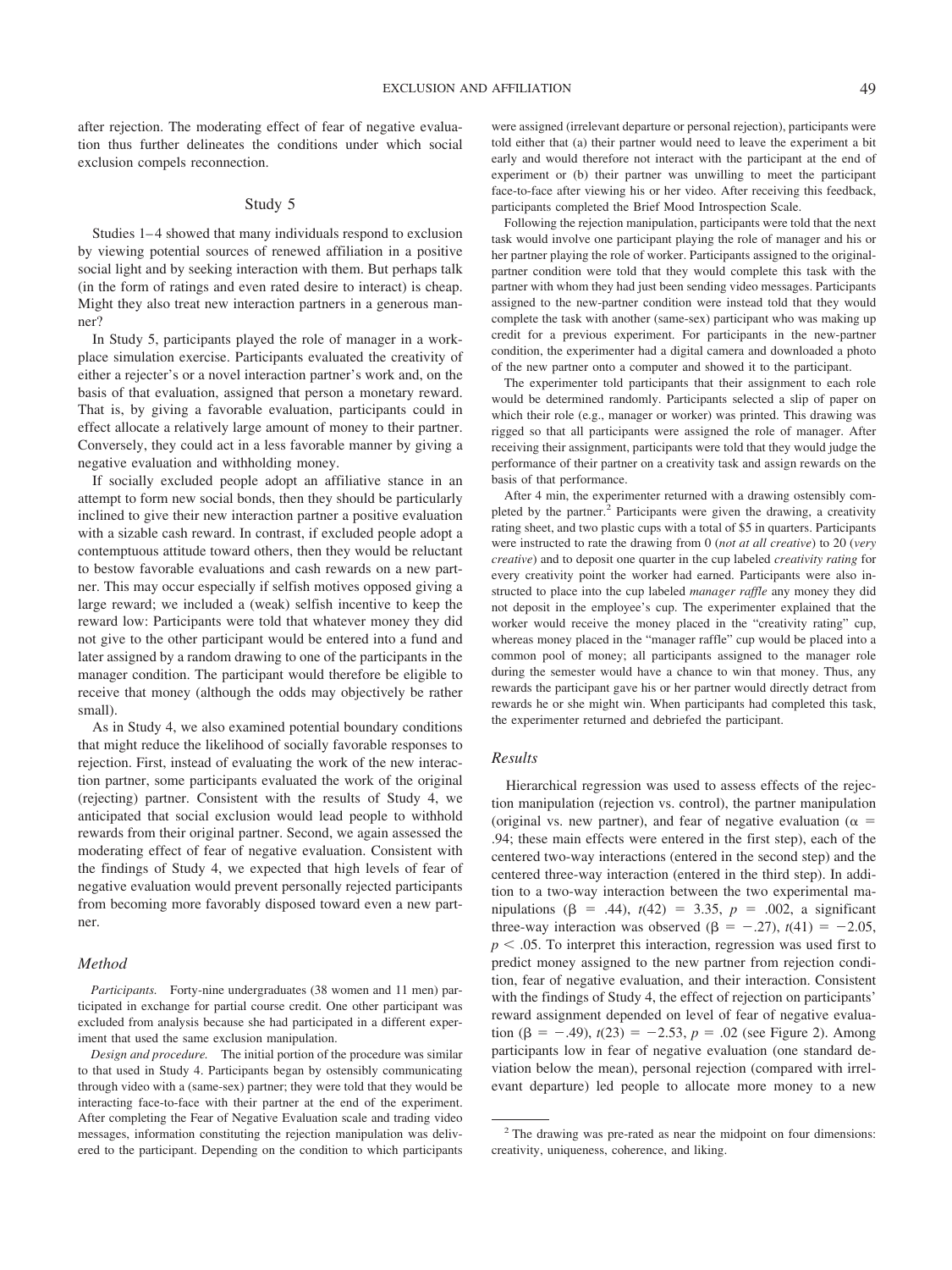after rejection. The moderating effect of fear of negative evaluation thus further delineates the conditions under which social exclusion compels reconnection.

#### Study 5

Studies 1–4 showed that many individuals respond to exclusion by viewing potential sources of renewed affiliation in a positive social light and by seeking interaction with them. But perhaps talk (in the form of ratings and even rated desire to interact) is cheap. Might they also treat new interaction partners in a generous manner?

In Study 5, participants played the role of manager in a workplace simulation exercise. Participants evaluated the creativity of either a rejecter's or a novel interaction partner's work and, on the basis of that evaluation, assigned that person a monetary reward. That is, by giving a favorable evaluation, participants could in effect allocate a relatively large amount of money to their partner. Conversely, they could act in a less favorable manner by giving a negative evaluation and withholding money.

If socially excluded people adopt an affiliative stance in an attempt to form new social bonds, then they should be particularly inclined to give their new interaction partner a positive evaluation with a sizable cash reward. In contrast, if excluded people adopt a contemptuous attitude toward others, then they would be reluctant to bestow favorable evaluations and cash rewards on a new partner. This may occur especially if selfish motives opposed giving a large reward; we included a (weak) selfish incentive to keep the reward low: Participants were told that whatever money they did not give to the other participant would be entered into a fund and later assigned by a random drawing to one of the participants in the manager condition. The participant would therefore be eligible to receive that money (although the odds may objectively be rather small).

As in Study 4, we also examined potential boundary conditions that might reduce the likelihood of socially favorable responses to rejection. First, instead of evaluating the work of the new interaction partner, some participants evaluated the work of the original (rejecting) partner. Consistent with the results of Study 4, we anticipated that social exclusion would lead people to withhold rewards from their original partner. Second, we again assessed the moderating effect of fear of negative evaluation. Consistent with the findings of Study 4, we expected that high levels of fear of negative evaluation would prevent personally rejected participants from becoming more favorably disposed toward even a new partner.

#### *Method*

*Participants.* Forty-nine undergraduates (38 women and 11 men) participated in exchange for partial course credit. One other participant was excluded from analysis because she had participated in a different experiment that used the same exclusion manipulation.

*Design and procedure.* The initial portion of the procedure was similar to that used in Study 4. Participants began by ostensibly communicating through video with a (same-sex) partner; they were told that they would be interacting face-to-face with their partner at the end of the experiment. After completing the Fear of Negative Evaluation scale and trading video messages, information constituting the rejection manipulation was delivered to the participant. Depending on the condition to which participants were assigned (irrelevant departure or personal rejection), participants were told either that (a) their partner would need to leave the experiment a bit early and would therefore not interact with the participant at the end of experiment or (b) their partner was unwilling to meet the participant face-to-face after viewing his or her video. After receiving this feedback, participants completed the Brief Mood Introspection Scale.

Following the rejection manipulation, participants were told that the next task would involve one participant playing the role of manager and his or her partner playing the role of worker. Participants assigned to the originalpartner condition were told that they would complete this task with the partner with whom they had just been sending video messages. Participants assigned to the new-partner condition were instead told that they would complete the task with another (same-sex) participant who was making up credit for a previous experiment. For participants in the new-partner condition, the experimenter had a digital camera and downloaded a photo of the new partner onto a computer and showed it to the participant.

The experimenter told participants that their assignment to each role would be determined randomly. Participants selected a slip of paper on which their role (e.g., manager or worker) was printed. This drawing was rigged so that all participants were assigned the role of manager. After receiving their assignment, participants were told that they would judge the performance of their partner on a creativity task and assign rewards on the basis of that performance.

After 4 min, the experimenter returned with a drawing ostensibly completed by the partner.<sup>2</sup> Participants were given the drawing, a creativity rating sheet, and two plastic cups with a total of \$5 in quarters. Participants were instructed to rate the drawing from 0 (*not at all creative*) to 20 (*very creative*) and to deposit one quarter in the cup labeled *creativity rating* for every creativity point the worker had earned. Participants were also instructed to place into the cup labeled *manager raffle* any money they did not deposit in the employee's cup. The experimenter explained that the worker would receive the money placed in the "creativity rating" cup, whereas money placed in the "manager raffle" cup would be placed into a common pool of money; all participants assigned to the manager role during the semester would have a chance to win that money. Thus, any rewards the participant gave his or her partner would directly detract from rewards he or she might win. When participants had completed this task, the experimenter returned and debriefed the participant.

## *Results*

Hierarchical regression was used to assess effects of the rejection manipulation (rejection vs. control), the partner manipulation (original vs. new partner), and fear of negative evaluation ( $\alpha$  = .94; these main effects were entered in the first step), each of the centered two-way interactions (entered in the second step) and the centered three-way interaction (entered in the third step). In addition to a two-way interaction between the two experimental manipulations ( $\beta = .44$ ),  $t(42) = 3.35$ ,  $p = .002$ , a significant three-way interaction was observed ( $\beta = -.27$ ),  $t(41) = -2.05$ ,  $p < .05$ . To interpret this interaction, regression was used first to predict money assigned to the new partner from rejection condition, fear of negative evaluation, and their interaction. Consistent with the findings of Study 4, the effect of rejection on participants' reward assignment depended on level of fear of negative evaluation  $(\beta = -.49)$ ,  $t(23) = -2.53$ ,  $p = .02$  (see Figure 2). Among participants low in fear of negative evaluation (one standard deviation below the mean), personal rejection (compared with irrelevant departure) led people to allocate more money to a new

<sup>2</sup> The drawing was pre-rated as near the midpoint on four dimensions: creativity, uniqueness, coherence, and liking.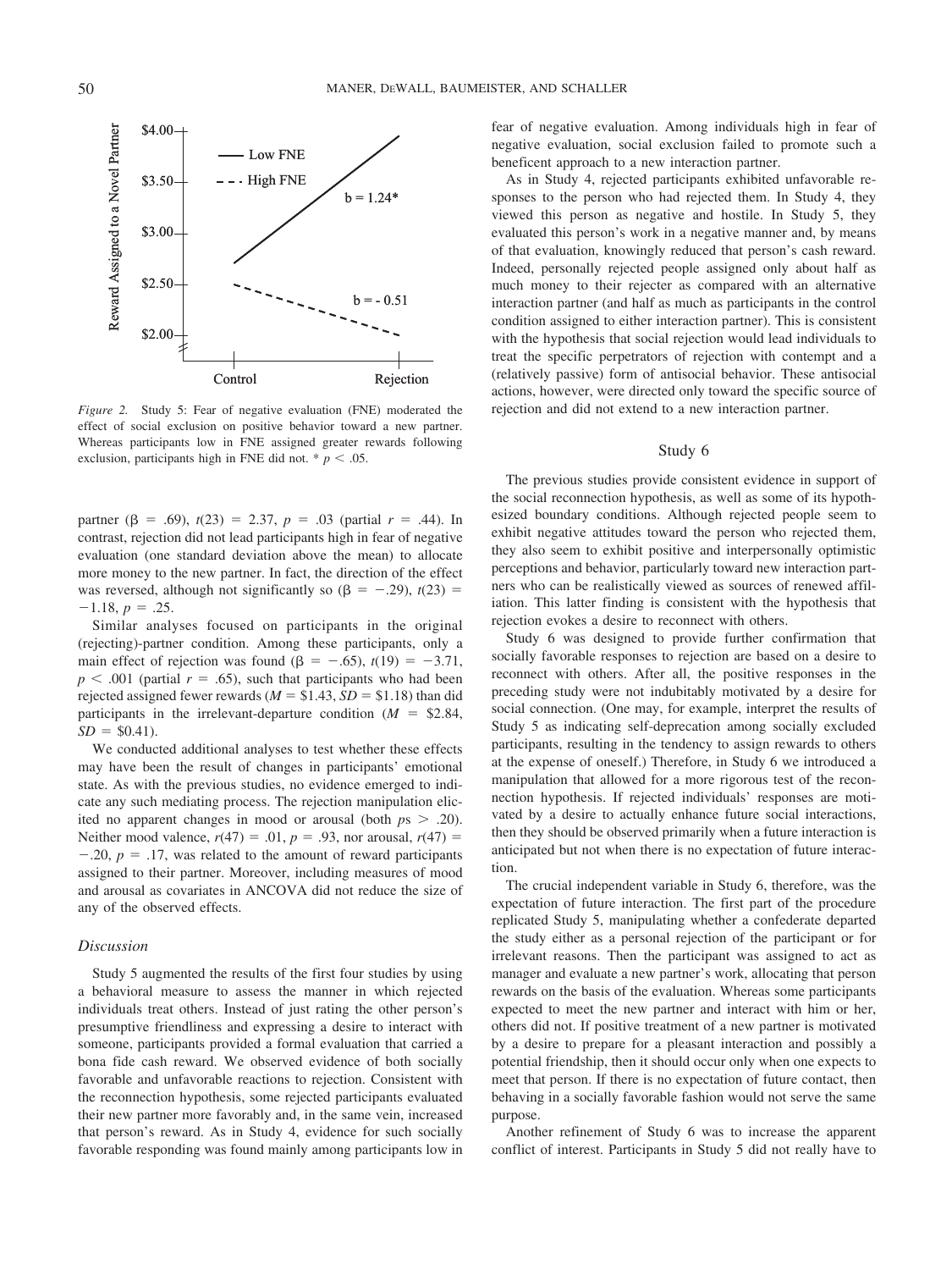

*Figure 2.* Study 5: Fear of negative evaluation (FNE) moderated the effect of social exclusion on positive behavior toward a new partner. Whereas participants low in FNE assigned greater rewards following exclusion, participants high in FNE did not.  $* p < .05$ .

partner ( $\beta = .69$ ),  $t(23) = 2.37$ ,  $p = .03$  (partial  $r = .44$ ). In contrast, rejection did not lead participants high in fear of negative evaluation (one standard deviation above the mean) to allocate more money to the new partner. In fact, the direction of the effect was reversed, although not significantly so  $(\beta = -.29)$ ,  $t(23) =$  $-1.18, p = .25.$ 

Similar analyses focused on participants in the original (rejecting)-partner condition. Among these participants, only a main effect of rejection was found  $(\beta = -.65)$ ,  $t(19) = -3.71$ ,  $p < .001$  (partial  $r = .65$ ), such that participants who had been rejected assigned fewer rewards  $(M = $1.43, SD = $1.18)$  than did participants in the irrelevant-departure condition  $(M = $2.84,$  $SD = $0.41$ .

We conducted additional analyses to test whether these effects may have been the result of changes in participants' emotional state. As with the previous studies, no evidence emerged to indicate any such mediating process. The rejection manipulation elicited no apparent changes in mood or arousal (both  $p_s > .20$ ). Neither mood valence,  $r(47) = .01$ ,  $p = .93$ , nor arousal,  $r(47) =$  $-.20, p = .17$ , was related to the amount of reward participants assigned to their partner. Moreover, including measures of mood and arousal as covariates in ANCOVA did not reduce the size of any of the observed effects.

#### *Discussion*

Study 5 augmented the results of the first four studies by using a behavioral measure to assess the manner in which rejected individuals treat others. Instead of just rating the other person's presumptive friendliness and expressing a desire to interact with someone, participants provided a formal evaluation that carried a bona fide cash reward. We observed evidence of both socially favorable and unfavorable reactions to rejection. Consistent with the reconnection hypothesis, some rejected participants evaluated their new partner more favorably and, in the same vein, increased that person's reward. As in Study 4, evidence for such socially favorable responding was found mainly among participants low in fear of negative evaluation. Among individuals high in fear of negative evaluation, social exclusion failed to promote such a beneficent approach to a new interaction partner.

As in Study 4, rejected participants exhibited unfavorable responses to the person who had rejected them. In Study 4, they viewed this person as negative and hostile. In Study 5, they evaluated this person's work in a negative manner and, by means of that evaluation, knowingly reduced that person's cash reward. Indeed, personally rejected people assigned only about half as much money to their rejecter as compared with an alternative interaction partner (and half as much as participants in the control condition assigned to either interaction partner). This is consistent with the hypothesis that social rejection would lead individuals to treat the specific perpetrators of rejection with contempt and a (relatively passive) form of antisocial behavior. These antisocial actions, however, were directed only toward the specific source of rejection and did not extend to a new interaction partner.

#### Study 6

The previous studies provide consistent evidence in support of the social reconnection hypothesis, as well as some of its hypothesized boundary conditions. Although rejected people seem to exhibit negative attitudes toward the person who rejected them, they also seem to exhibit positive and interpersonally optimistic perceptions and behavior, particularly toward new interaction partners who can be realistically viewed as sources of renewed affiliation. This latter finding is consistent with the hypothesis that rejection evokes a desire to reconnect with others.

Study 6 was designed to provide further confirmation that socially favorable responses to rejection are based on a desire to reconnect with others. After all, the positive responses in the preceding study were not indubitably motivated by a desire for social connection. (One may, for example, interpret the results of Study 5 as indicating self-deprecation among socially excluded participants, resulting in the tendency to assign rewards to others at the expense of oneself.) Therefore, in Study 6 we introduced a manipulation that allowed for a more rigorous test of the reconnection hypothesis. If rejected individuals' responses are motivated by a desire to actually enhance future social interactions, then they should be observed primarily when a future interaction is anticipated but not when there is no expectation of future interaction.

The crucial independent variable in Study 6, therefore, was the expectation of future interaction. The first part of the procedure replicated Study 5, manipulating whether a confederate departed the study either as a personal rejection of the participant or for irrelevant reasons. Then the participant was assigned to act as manager and evaluate a new partner's work, allocating that person rewards on the basis of the evaluation. Whereas some participants expected to meet the new partner and interact with him or her, others did not. If positive treatment of a new partner is motivated by a desire to prepare for a pleasant interaction and possibly a potential friendship, then it should occur only when one expects to meet that person. If there is no expectation of future contact, then behaving in a socially favorable fashion would not serve the same purpose.

Another refinement of Study 6 was to increase the apparent conflict of interest. Participants in Study 5 did not really have to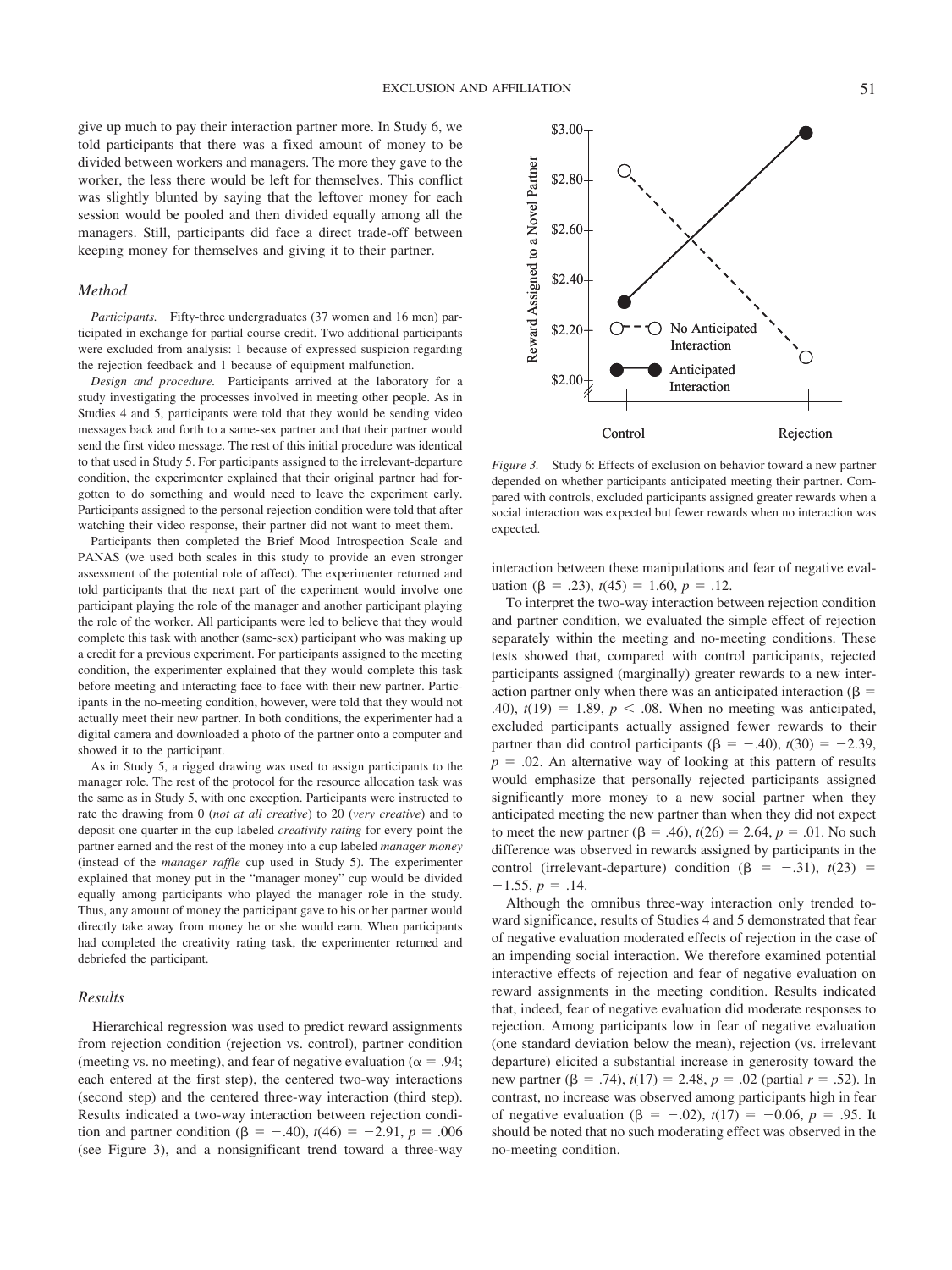give up much to pay their interaction partner more. In Study 6, we told participants that there was a fixed amount of money to be divided between workers and managers. The more they gave to the worker, the less there would be left for themselves. This conflict was slightly blunted by saying that the leftover money for each session would be pooled and then divided equally among all the managers. Still, participants did face a direct trade-off between

#### *Method*

*Participants.* Fifty-three undergraduates (37 women and 16 men) participated in exchange for partial course credit. Two additional participants were excluded from analysis: 1 because of expressed suspicion regarding the rejection feedback and 1 because of equipment malfunction.

keeping money for themselves and giving it to their partner.

*Design and procedure.* Participants arrived at the laboratory for a study investigating the processes involved in meeting other people. As in Studies 4 and 5, participants were told that they would be sending video messages back and forth to a same-sex partner and that their partner would send the first video message. The rest of this initial procedure was identical to that used in Study 5. For participants assigned to the irrelevant-departure condition, the experimenter explained that their original partner had forgotten to do something and would need to leave the experiment early. Participants assigned to the personal rejection condition were told that after watching their video response, their partner did not want to meet them.

Participants then completed the Brief Mood Introspection Scale and PANAS (we used both scales in this study to provide an even stronger assessment of the potential role of affect). The experimenter returned and told participants that the next part of the experiment would involve one participant playing the role of the manager and another participant playing the role of the worker. All participants were led to believe that they would complete this task with another (same-sex) participant who was making up a credit for a previous experiment. For participants assigned to the meeting condition, the experimenter explained that they would complete this task before meeting and interacting face-to-face with their new partner. Participants in the no-meeting condition, however, were told that they would not actually meet their new partner. In both conditions, the experimenter had a digital camera and downloaded a photo of the partner onto a computer and showed it to the participant.

As in Study 5, a rigged drawing was used to assign participants to the manager role. The rest of the protocol for the resource allocation task was the same as in Study 5, with one exception. Participants were instructed to rate the drawing from 0 (*not at all creative*) to 20 (*very creative*) and to deposit one quarter in the cup labeled *creativity rating* for every point the partner earned and the rest of the money into a cup labeled *manager money* (instead of the *manager raffle* cup used in Study 5). The experimenter explained that money put in the "manager money" cup would be divided equally among participants who played the manager role in the study. Thus, any amount of money the participant gave to his or her partner would directly take away from money he or she would earn. When participants had completed the creativity rating task, the experimenter returned and debriefed the participant.

## *Results*

Hierarchical regression was used to predict reward assignments from rejection condition (rejection vs. control), partner condition (meeting vs. no meeting), and fear of negative evaluation ( $\alpha = .94$ ; each entered at the first step), the centered two-way interactions (second step) and the centered three-way interaction (third step). Results indicated a two-way interaction between rejection condition and partner condition ( $\beta = -.40$ ),  $t(46) = -2.91$ ,  $p = .006$ (see Figure 3), and a nonsignificant trend toward a three-way



*Figure 3.* Study 6: Effects of exclusion on behavior toward a new partner depended on whether participants anticipated meeting their partner. Compared with controls, excluded participants assigned greater rewards when a social interaction was expected but fewer rewards when no interaction was expected.

interaction between these manipulations and fear of negative evaluation ( $\beta = .23$ ),  $t(45) = 1.60$ ,  $p = .12$ .

To interpret the two-way interaction between rejection condition and partner condition, we evaluated the simple effect of rejection separately within the meeting and no-meeting conditions. These tests showed that, compared with control participants, rejected participants assigned (marginally) greater rewards to a new interaction partner only when there was an anticipated interaction ( $\beta$  = .40),  $t(19) = 1.89$ ,  $p < .08$ . When no meeting was anticipated, excluded participants actually assigned fewer rewards to their partner than did control participants  $(\beta = -.40), t(30) = -2.39,$  $p = 0.02$ . An alternative way of looking at this pattern of results would emphasize that personally rejected participants assigned significantly more money to a new social partner when they anticipated meeting the new partner than when they did not expect to meet the new partner  $(\beta = .46)$ ,  $t(26) = 2.64$ ,  $p = .01$ . No such difference was observed in rewards assigned by participants in the control (irrelevant-departure) condition  $(\beta = -0.31)$ ,  $t(23) =$  $-1.55, p = .14.$ **S2.80**<br> **S2.80**<br> **S2.80**<br> **S2.60**<br> **S2.40**<br> **S2.40**<br> **S2.40**<br> **S2.90**<br> **S2.90**<br> **C**<br> **C**<br> **S2.00**<br> **C**<br> **C**<br> **C**<br> **Figure 3.** Study 6: Effected on whether pared with controls, exclused interaction was expected.<br>
interac

Although the omnibus three-way interaction only trended toward significance, results of Studies 4 and 5 demonstrated that fear of negative evaluation moderated effects of rejection in the case of an impending social interaction. We therefore examined potential interactive effects of rejection and fear of negative evaluation on reward assignments in the meeting condition. Results indicated that, indeed, fear of negative evaluation did moderate responses to rejection. Among participants low in fear of negative evaluation (one standard deviation below the mean), rejection (vs. irrelevant departure) elicited a substantial increase in generosity toward the new partner ( $\beta = .74$ ),  $t(17) = 2.48$ ,  $p = .02$  (partial  $r = .52$ ). In contrast, no increase was observed among participants high in fear of negative evaluation ( $\beta = -.02$ ),  $t(17) = -0.06$ ,  $p = .95$ . It should be noted that no such moderating effect was observed in the no-meeting condition.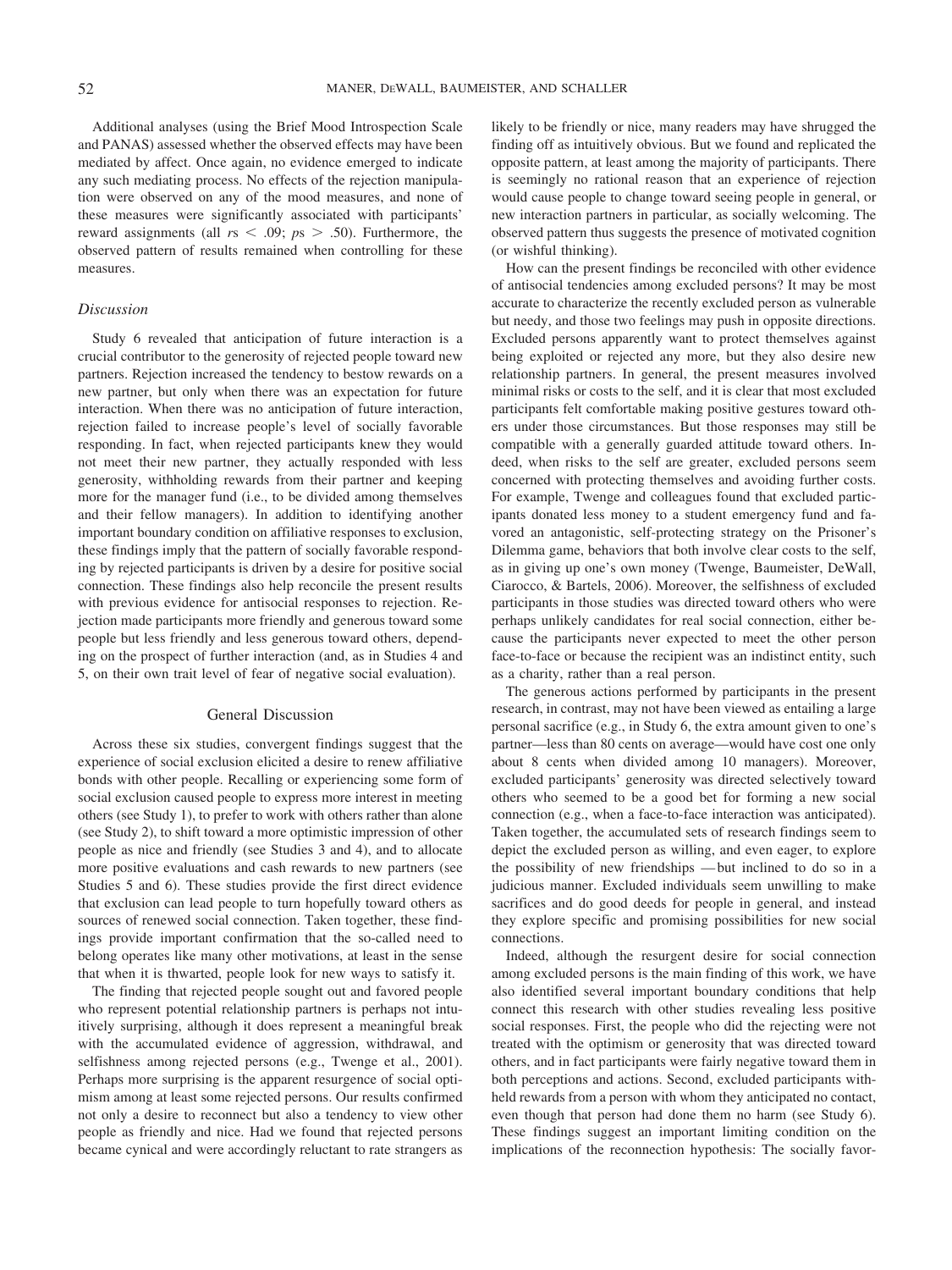Additional analyses (using the Brief Mood Introspection Scale and PANAS) assessed whether the observed effects may have been mediated by affect. Once again, no evidence emerged to indicate any such mediating process. No effects of the rejection manipulation were observed on any of the mood measures, and none of these measures were significantly associated with participants' reward assignments (all  $rs < .09$ ;  $ps > .50$ ). Furthermore, the observed pattern of results remained when controlling for these measures.

#### *Discussion*

Study 6 revealed that anticipation of future interaction is a crucial contributor to the generosity of rejected people toward new partners. Rejection increased the tendency to bestow rewards on a new partner, but only when there was an expectation for future interaction. When there was no anticipation of future interaction, rejection failed to increase people's level of socially favorable responding. In fact, when rejected participants knew they would not meet their new partner, they actually responded with less generosity, withholding rewards from their partner and keeping more for the manager fund (i.e., to be divided among themselves and their fellow managers). In addition to identifying another important boundary condition on affiliative responses to exclusion, these findings imply that the pattern of socially favorable responding by rejected participants is driven by a desire for positive social connection. These findings also help reconcile the present results with previous evidence for antisocial responses to rejection. Rejection made participants more friendly and generous toward some people but less friendly and less generous toward others, depending on the prospect of further interaction (and, as in Studies 4 and 5, on their own trait level of fear of negative social evaluation).

#### General Discussion

Across these six studies, convergent findings suggest that the experience of social exclusion elicited a desire to renew affiliative bonds with other people. Recalling or experiencing some form of social exclusion caused people to express more interest in meeting others (see Study 1), to prefer to work with others rather than alone (see Study 2), to shift toward a more optimistic impression of other people as nice and friendly (see Studies 3 and 4), and to allocate more positive evaluations and cash rewards to new partners (see Studies 5 and 6). These studies provide the first direct evidence that exclusion can lead people to turn hopefully toward others as sources of renewed social connection. Taken together, these findings provide important confirmation that the so-called need to belong operates like many other motivations, at least in the sense that when it is thwarted, people look for new ways to satisfy it.

The finding that rejected people sought out and favored people who represent potential relationship partners is perhaps not intuitively surprising, although it does represent a meaningful break with the accumulated evidence of aggression, withdrawal, and selfishness among rejected persons (e.g., Twenge et al., 2001). Perhaps more surprising is the apparent resurgence of social optimism among at least some rejected persons. Our results confirmed not only a desire to reconnect but also a tendency to view other people as friendly and nice. Had we found that rejected persons became cynical and were accordingly reluctant to rate strangers as likely to be friendly or nice, many readers may have shrugged the finding off as intuitively obvious. But we found and replicated the opposite pattern, at least among the majority of participants. There is seemingly no rational reason that an experience of rejection would cause people to change toward seeing people in general, or new interaction partners in particular, as socially welcoming. The observed pattern thus suggests the presence of motivated cognition (or wishful thinking).

How can the present findings be reconciled with other evidence of antisocial tendencies among excluded persons? It may be most accurate to characterize the recently excluded person as vulnerable but needy, and those two feelings may push in opposite directions. Excluded persons apparently want to protect themselves against being exploited or rejected any more, but they also desire new relationship partners. In general, the present measures involved minimal risks or costs to the self, and it is clear that most excluded participants felt comfortable making positive gestures toward others under those circumstances. But those responses may still be compatible with a generally guarded attitude toward others. Indeed, when risks to the self are greater, excluded persons seem concerned with protecting themselves and avoiding further costs. For example, Twenge and colleagues found that excluded participants donated less money to a student emergency fund and favored an antagonistic, self-protecting strategy on the Prisoner's Dilemma game, behaviors that both involve clear costs to the self, as in giving up one's own money (Twenge, Baumeister, DeWall, Ciarocco, & Bartels, 2006). Moreover, the selfishness of excluded participants in those studies was directed toward others who were perhaps unlikely candidates for real social connection, either because the participants never expected to meet the other person face-to-face or because the recipient was an indistinct entity, such as a charity, rather than a real person.

The generous actions performed by participants in the present research, in contrast, may not have been viewed as entailing a large personal sacrifice (e.g., in Study 6, the extra amount given to one's partner—less than 80 cents on average—would have cost one only about 8 cents when divided among 10 managers). Moreover, excluded participants' generosity was directed selectively toward others who seemed to be a good bet for forming a new social connection (e.g., when a face-to-face interaction was anticipated). Taken together, the accumulated sets of research findings seem to depict the excluded person as willing, and even eager, to explore the possibility of new friendships — but inclined to do so in a judicious manner. Excluded individuals seem unwilling to make sacrifices and do good deeds for people in general, and instead they explore specific and promising possibilities for new social connections.

Indeed, although the resurgent desire for social connection among excluded persons is the main finding of this work, we have also identified several important boundary conditions that help connect this research with other studies revealing less positive social responses. First, the people who did the rejecting were not treated with the optimism or generosity that was directed toward others, and in fact participants were fairly negative toward them in both perceptions and actions. Second, excluded participants withheld rewards from a person with whom they anticipated no contact, even though that person had done them no harm (see Study 6). These findings suggest an important limiting condition on the implications of the reconnection hypothesis: The socially favor-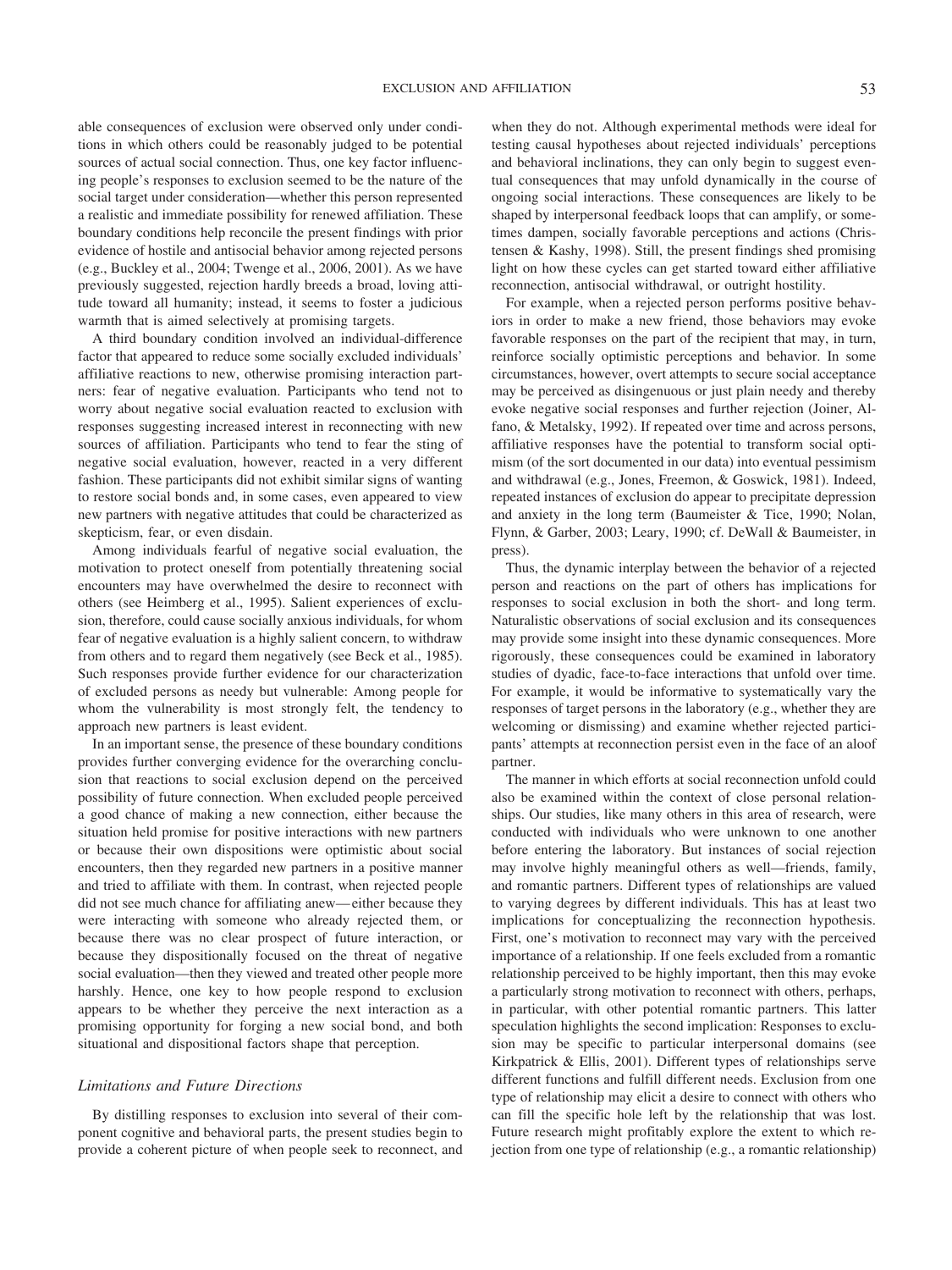able consequences of exclusion were observed only under conditions in which others could be reasonably judged to be potential sources of actual social connection. Thus, one key factor influencing people's responses to exclusion seemed to be the nature of the social target under consideration—whether this person represented a realistic and immediate possibility for renewed affiliation. These boundary conditions help reconcile the present findings with prior evidence of hostile and antisocial behavior among rejected persons (e.g., Buckley et al., 2004; Twenge et al., 2006, 2001). As we have previously suggested, rejection hardly breeds a broad, loving attitude toward all humanity; instead, it seems to foster a judicious warmth that is aimed selectively at promising targets.

A third boundary condition involved an individual-difference factor that appeared to reduce some socially excluded individuals' affiliative reactions to new, otherwise promising interaction partners: fear of negative evaluation. Participants who tend not to worry about negative social evaluation reacted to exclusion with responses suggesting increased interest in reconnecting with new sources of affiliation. Participants who tend to fear the sting of negative social evaluation, however, reacted in a very different fashion. These participants did not exhibit similar signs of wanting to restore social bonds and, in some cases, even appeared to view new partners with negative attitudes that could be characterized as skepticism, fear, or even disdain.

Among individuals fearful of negative social evaluation, the motivation to protect oneself from potentially threatening social encounters may have overwhelmed the desire to reconnect with others (see Heimberg et al., 1995). Salient experiences of exclusion, therefore, could cause socially anxious individuals, for whom fear of negative evaluation is a highly salient concern, to withdraw from others and to regard them negatively (see Beck et al., 1985). Such responses provide further evidence for our characterization of excluded persons as needy but vulnerable: Among people for whom the vulnerability is most strongly felt, the tendency to approach new partners is least evident.

In an important sense, the presence of these boundary conditions provides further converging evidence for the overarching conclusion that reactions to social exclusion depend on the perceived possibility of future connection. When excluded people perceived a good chance of making a new connection, either because the situation held promise for positive interactions with new partners or because their own dispositions were optimistic about social encounters, then they regarded new partners in a positive manner and tried to affiliate with them. In contrast, when rejected people did not see much chance for affiliating anew— either because they were interacting with someone who already rejected them, or because there was no clear prospect of future interaction, or because they dispositionally focused on the threat of negative social evaluation—then they viewed and treated other people more harshly. Hence, one key to how people respond to exclusion appears to be whether they perceive the next interaction as a promising opportunity for forging a new social bond, and both situational and dispositional factors shape that perception.

## *Limitations and Future Directions*

By distilling responses to exclusion into several of their component cognitive and behavioral parts, the present studies begin to provide a coherent picture of when people seek to reconnect, and when they do not. Although experimental methods were ideal for testing causal hypotheses about rejected individuals' perceptions and behavioral inclinations, they can only begin to suggest eventual consequences that may unfold dynamically in the course of ongoing social interactions. These consequences are likely to be shaped by interpersonal feedback loops that can amplify, or sometimes dampen, socially favorable perceptions and actions (Christensen & Kashy, 1998). Still, the present findings shed promising light on how these cycles can get started toward either affiliative reconnection, antisocial withdrawal, or outright hostility.

For example, when a rejected person performs positive behaviors in order to make a new friend, those behaviors may evoke favorable responses on the part of the recipient that may, in turn, reinforce socially optimistic perceptions and behavior. In some circumstances, however, overt attempts to secure social acceptance may be perceived as disingenuous or just plain needy and thereby evoke negative social responses and further rejection (Joiner, Alfano, & Metalsky, 1992). If repeated over time and across persons, affiliative responses have the potential to transform social optimism (of the sort documented in our data) into eventual pessimism and withdrawal (e.g., Jones, Freemon, & Goswick, 1981). Indeed, repeated instances of exclusion do appear to precipitate depression and anxiety in the long term (Baumeister & Tice, 1990; Nolan, Flynn, & Garber, 2003; Leary, 1990; cf. DeWall & Baumeister, in press).

Thus, the dynamic interplay between the behavior of a rejected person and reactions on the part of others has implications for responses to social exclusion in both the short- and long term. Naturalistic observations of social exclusion and its consequences may provide some insight into these dynamic consequences. More rigorously, these consequences could be examined in laboratory studies of dyadic, face-to-face interactions that unfold over time. For example, it would be informative to systematically vary the responses of target persons in the laboratory (e.g., whether they are welcoming or dismissing) and examine whether rejected participants' attempts at reconnection persist even in the face of an aloof partner.

The manner in which efforts at social reconnection unfold could also be examined within the context of close personal relationships. Our studies, like many others in this area of research, were conducted with individuals who were unknown to one another before entering the laboratory. But instances of social rejection may involve highly meaningful others as well—friends, family, and romantic partners. Different types of relationships are valued to varying degrees by different individuals. This has at least two implications for conceptualizing the reconnection hypothesis. First, one's motivation to reconnect may vary with the perceived importance of a relationship. If one feels excluded from a romantic relationship perceived to be highly important, then this may evoke a particularly strong motivation to reconnect with others, perhaps, in particular, with other potential romantic partners. This latter speculation highlights the second implication: Responses to exclusion may be specific to particular interpersonal domains (see Kirkpatrick & Ellis, 2001). Different types of relationships serve different functions and fulfill different needs. Exclusion from one type of relationship may elicit a desire to connect with others who can fill the specific hole left by the relationship that was lost. Future research might profitably explore the extent to which rejection from one type of relationship (e.g., a romantic relationship)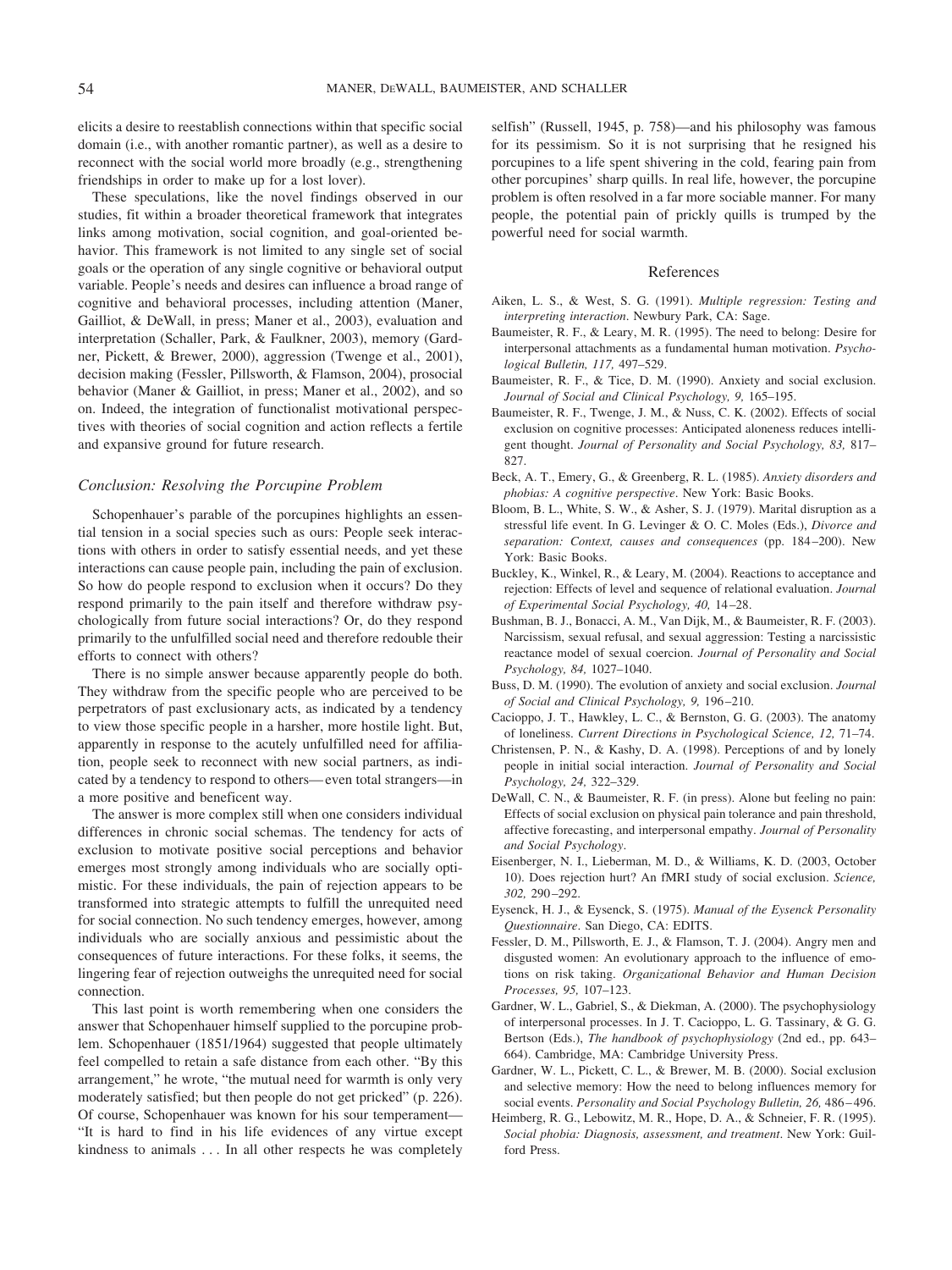elicits a desire to reestablish connections within that specific social domain (i.e., with another romantic partner), as well as a desire to reconnect with the social world more broadly (e.g., strengthening friendships in order to make up for a lost lover).

These speculations, like the novel findings observed in our studies, fit within a broader theoretical framework that integrates links among motivation, social cognition, and goal-oriented behavior. This framework is not limited to any single set of social goals or the operation of any single cognitive or behavioral output variable. People's needs and desires can influence a broad range of cognitive and behavioral processes, including attention (Maner, Gailliot, & DeWall, in press; Maner et al., 2003), evaluation and interpretation (Schaller, Park, & Faulkner, 2003), memory (Gardner, Pickett, & Brewer, 2000), aggression (Twenge et al., 2001), decision making (Fessler, Pillsworth, & Flamson, 2004), prosocial behavior (Maner & Gailliot, in press; Maner et al., 2002), and so on. Indeed, the integration of functionalist motivational perspectives with theories of social cognition and action reflects a fertile and expansive ground for future research.

## *Conclusion: Resolving the Porcupine Problem*

Schopenhauer's parable of the porcupines highlights an essential tension in a social species such as ours: People seek interactions with others in order to satisfy essential needs, and yet these interactions can cause people pain, including the pain of exclusion. So how do people respond to exclusion when it occurs? Do they respond primarily to the pain itself and therefore withdraw psychologically from future social interactions? Or, do they respond primarily to the unfulfilled social need and therefore redouble their efforts to connect with others?

There is no simple answer because apparently people do both. They withdraw from the specific people who are perceived to be perpetrators of past exclusionary acts, as indicated by a tendency to view those specific people in a harsher, more hostile light. But, apparently in response to the acutely unfulfilled need for affiliation, people seek to reconnect with new social partners, as indicated by a tendency to respond to others— even total strangers—in a more positive and beneficent way.

The answer is more complex still when one considers individual differences in chronic social schemas. The tendency for acts of exclusion to motivate positive social perceptions and behavior emerges most strongly among individuals who are socially optimistic. For these individuals, the pain of rejection appears to be transformed into strategic attempts to fulfill the unrequited need for social connection. No such tendency emerges, however, among individuals who are socially anxious and pessimistic about the consequences of future interactions. For these folks, it seems, the lingering fear of rejection outweighs the unrequited need for social connection.

This last point is worth remembering when one considers the answer that Schopenhauer himself supplied to the porcupine problem. Schopenhauer (1851/1964) suggested that people ultimately feel compelled to retain a safe distance from each other. "By this arrangement," he wrote, "the mutual need for warmth is only very moderately satisfied; but then people do not get pricked" (p. 226). Of course, Schopenhauer was known for his sour temperament— "It is hard to find in his life evidences of any virtue except kindness to animals . . . In all other respects he was completely selfish" (Russell, 1945, p. 758)—and his philosophy was famous for its pessimism. So it is not surprising that he resigned his porcupines to a life spent shivering in the cold, fearing pain from other porcupines' sharp quills. In real life, however, the porcupine problem is often resolved in a far more sociable manner. For many people, the potential pain of prickly quills is trumped by the powerful need for social warmth.

#### References

- Aiken, L. S., & West, S. G. (1991). *Multiple regression: Testing and interpreting interaction*. Newbury Park, CA: Sage.
- Baumeister, R. F., & Leary, M. R. (1995). The need to belong: Desire for interpersonal attachments as a fundamental human motivation. *Psychological Bulletin, 117,* 497–529.
- Baumeister, R. F., & Tice, D. M. (1990). Anxiety and social exclusion. *Journal of Social and Clinical Psychology, 9,* 165–195.
- Baumeister, R. F., Twenge, J. M., & Nuss, C. K. (2002). Effects of social exclusion on cognitive processes: Anticipated aloneness reduces intelligent thought. *Journal of Personality and Social Psychology, 83,* 817– 827.
- Beck, A. T., Emery, G., & Greenberg, R. L. (1985). *Anxiety disorders and phobias: A cognitive perspective*. New York: Basic Books.
- Bloom, B. L., White, S. W., & Asher, S. J. (1979). Marital disruption as a stressful life event. In G. Levinger & O. C. Moles (Eds.), *Divorce and separation: Context, causes and consequences* (pp. 184 –200). New York: Basic Books.
- Buckley, K., Winkel, R., & Leary, M. (2004). Reactions to acceptance and rejection: Effects of level and sequence of relational evaluation. *Journal of Experimental Social Psychology, 40,* 14 –28.
- Bushman, B. J., Bonacci, A. M., Van Dijk, M., & Baumeister, R. F. (2003). Narcissism, sexual refusal, and sexual aggression: Testing a narcissistic reactance model of sexual coercion. *Journal of Personality and Social Psychology, 84,* 1027–1040.
- Buss, D. M. (1990). The evolution of anxiety and social exclusion. *Journal of Social and Clinical Psychology, 9,* 196 –210.
- Cacioppo, J. T., Hawkley, L. C., & Bernston, G. G. (2003). The anatomy of loneliness. *Current Directions in Psychological Science, 12,* 71–74.
- Christensen, P. N., & Kashy, D. A. (1998). Perceptions of and by lonely people in initial social interaction. *Journal of Personality and Social Psychology, 24,* 322–329.
- DeWall, C. N., & Baumeister, R. F. (in press). Alone but feeling no pain: Effects of social exclusion on physical pain tolerance and pain threshold, affective forecasting, and interpersonal empathy. *Journal of Personality and Social Psychology*.
- Eisenberger, N. I., Lieberman, M. D., & Williams, K. D. (2003, October 10). Does rejection hurt? An fMRI study of social exclusion. *Science, 302,* 290 –292.
- Eysenck, H. J., & Eysenck, S. (1975). *Manual of the Eysenck Personality Questionnaire*. San Diego, CA: EDITS.
- Fessler, D. M., Pillsworth, E. J., & Flamson, T. J. (2004). Angry men and disgusted women: An evolutionary approach to the influence of emotions on risk taking. *Organizational Behavior and Human Decision Processes, 95,* 107–123.
- Gardner, W. L., Gabriel, S., & Diekman, A. (2000). The psychophysiology of interpersonal processes. In J. T. Cacioppo, L. G. Tassinary, & G. G. Bertson (Eds.), *The handbook of psychophysiology* (2nd ed., pp. 643– 664). Cambridge, MA: Cambridge University Press.
- Gardner, W. L., Pickett, C. L., & Brewer, M. B. (2000). Social exclusion and selective memory: How the need to belong influences memory for social events. *Personality and Social Psychology Bulletin, 26,* 486 – 496.
- Heimberg, R. G., Lebowitz, M. R., Hope, D. A., & Schneier, F. R. (1995). *Social phobia: Diagnosis, assessment, and treatment*. New York: Guilford Press.